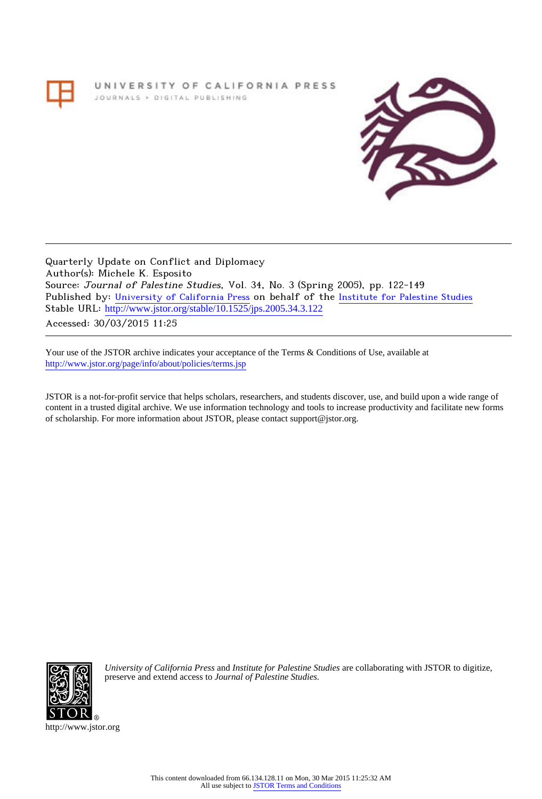# UNIVERSITY OF CALIFORNIA PRESS JOURNALS + DIGITAL PUBLISHING



Quarterly Update on Conflict and Diplomacy Author(s): Michele K. Esposito Source: Journal of Palestine Studies, Vol. 34, No. 3 (Spring 2005), pp. 122-149 Published by: [University of California Press](http://www.jstor.org/action/showPublisher?publisherCode=ucal) on behalf of the [Institute for Palestine Studies](http://www.jstor.org/action/showPublisher?publisherCode=palstud) Stable URL: http://www.jstor.org/stable/10.1525/jps.2005.34.3.122

Accessed: 30/03/2015 11:25

Your use of the JSTOR archive indicates your acceptance of the Terms & Conditions of Use, available at <http://www.jstor.org/page/info/about/policies/terms.jsp>

JSTOR is a not-for-profit service that helps scholars, researchers, and students discover, use, and build upon a wide range of content in a trusted digital archive. We use information technology and tools to increase productivity and facilitate new forms of scholarship. For more information about JSTOR, please contact support@jstor.org.



*University of California Press* and *Institute for Palestine Studies* are collaborating with JSTOR to digitize, preserve and extend access to *Journal of Palestine Studies.*

http://www.jstor.org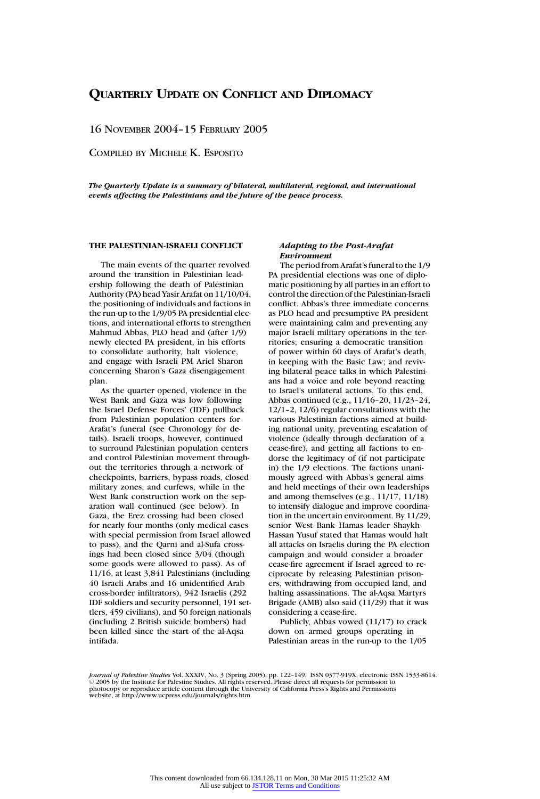16 NOVEMBER 2004–15 FEBRUARY 2005

COMPILED BY MICHELE K. ESPOSITO

*The Quarterly Update is a summary of bilateral, multilateral, regional, and international events affecting the Palestinians and the future of the peace process.*

# **THE PALESTINIAN-ISRAELI CONFLICT**

The main events of the quarter revolved around the transition in Palestinian leadership following the death of Palestinian Authority (PA) head Yasir Arafat on 11/10/04, the positioning of individuals and factions in the run-up to the 1/9/05 PA presidential elections, and international efforts to strengthen Mahmud Abbas, PLO head and (after 1/9) newly elected PA president, in his efforts to consolidate authority, halt violence, and engage with Israeli PM Ariel Sharon concerning Sharon's Gaza disengagement plan.

As the quarter opened, violence in the West Bank and Gaza was low following the Israel Defense Forces' (IDF) pullback from Palestinian population centers for Arafat's funeral (see Chronology for details). Israeli troops, however, continued to surround Palestinian population centers and control Palestinian movement throughout the territories through a network of checkpoints, barriers, bypass roads, closed military zones, and curfews, while in the West Bank construction work on the separation wall continued (see below). In Gaza, the Erez crossing had been closed for nearly four months (only medical cases with special permission from Israel allowed to pass), and the Qarni and al-Sufa crossings had been closed since 3/04 (though some goods were allowed to pass). As of 11/16, at least 3,841 Palestinians (including 40 Israeli Arabs and 16 unidentified Arab cross-border infiltrators), 942 Israelis (292 IDF soldiers and security personnel, 191 settlers, 459 civilians), and 50 foreign nationals (including 2 British suicide bombers) had been killed since the start of the al-Aqsa intifada.

# *Adapting to the Post-Arafat Environment*

The period from Arafat's funeral to the 1/9 PA presidential elections was one of diplomatic positioning by all parties in an effort to control the direction of the Palestinian-Israeli conflict. Abbas's three immediate concerns as PLO head and presumptive PA president were maintaining calm and preventing any major Israeli military operations in the territories; ensuring a democratic transition of power within 60 days of Arafat's death, in keeping with the Basic Law; and reviving bilateral peace talks in which Palestinians had a voice and role beyond reacting to Israel's unilateral actions. To this end, Abbas continued (e.g., 11/16–20, 11/23–24, 12/1–2, 12/6) regular consultations with the various Palestinian factions aimed at building national unity, preventing escalation of violence (ideally through declaration of a cease-fire), and getting all factions to endorse the legitimacy of (if not participate in) the 1/9 elections. The factions unanimously agreed with Abbas's general aims and held meetings of their own leaderships and among themselves (e.g., 11/17, 11/18) to intensify dialogue and improve coordination in the uncertain environment. By 11/29, senior West Bank Hamas leader Shaykh Hassan Yusuf stated that Hamas would halt all attacks on Israelis during the PA election campaign and would consider a broader cease-fire agreement if Israel agreed to reciprocate by releasing Palestinian prisoners, withdrawing from occupied land, and halting assassinations. The al-Aqsa Martyrs Brigade (AMB) also said (11/29) that it was considering a cease-fire.

Publicly, Abbas vowed (11/17) to crack down on armed groups operating in Palestinian areas in the run-up to the 1/05

*Journal of Palestine Studies* Vol. XXXIV, No. 3 (Spring 2005), pp. 122–149, ISSN 0377-919X, electronic ISSN 1533-8614. Call The Institute for Palestine Studies. All rights reserved. Please direct all requests for permission to 2005 by the Institute for Palestine Studies. All rights reserved. Please direct all requests for permission to photocopy or reproduce article content through the University of California Press's Rights and Permissions website, at http://www.ucpress.edu/journals/rights.htm.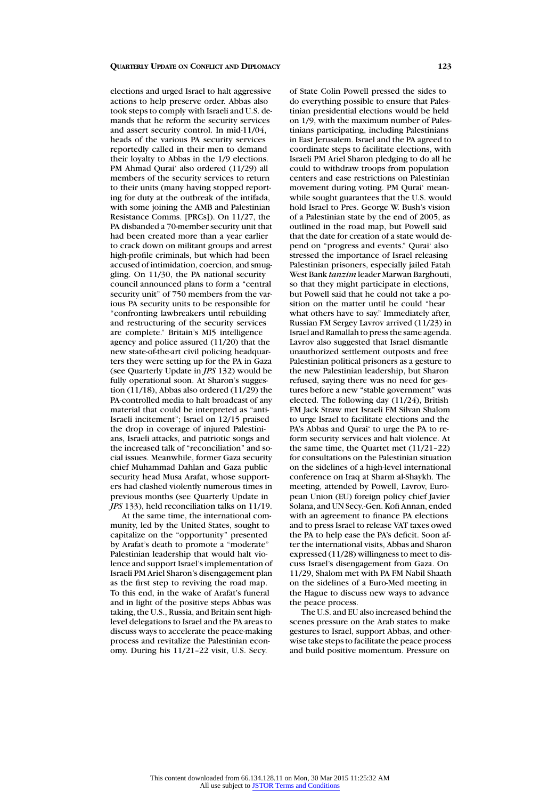elections and urged Israel to halt aggressive actions to help preserve order. Abbas also took steps to comply with Israeli and U.S. demands that he reform the security services and assert security control. In mid-11/04, heads of the various PA security services reportedly called in their men to demand their loyalty to Abbas in the 1/9 elections. PM Ahmad Qurai' also ordered (11/29) all members of the security services to return to their units (many having stopped reporting for duty at the outbreak of the intifada, with some joining the AMB and Palestinian Resistance Comms. [PRCs]). On 11/27, the PA disbanded a 70-member security unit that had been created more than a year earlier to crack down on militant groups and arrest high-profile criminals, but which had been accused of intimidation, coercion, and smuggling. On 11/30, the PA national security council announced plans to form a "central security unit" of 750 members from the various PA security units to be responsible for "confronting lawbreakers until rebuilding and restructuring of the security services are complete." Britain's MI5 intelligence agency and police assured (11/20) that the new state-of-the-art civil policing headquarters they were setting up for the PA in Gaza (see Quarterly Update in *JPS* 132) would be fully operational soon. At Sharon's suggestion (11/18), Abbas also ordered (11/29) the PA-controlled media to halt broadcast of any material that could be interpreted as "anti-Israeli incitement"; Israel on 12/15 praised the drop in coverage of injured Palestinians, Israeli attacks, and patriotic songs and the increased talk of "reconciliation" and social issues. Meanwhile, former Gaza security chief Muhammad Dahlan and Gaza public security head Musa Arafat, whose supporters had clashed violently numerous times in previous months (see Quarterly Update in *JPS* 133), held reconciliation talks on 11/19.

At the same time, the international community, led by the United States, sought to capitalize on the "opportunity" presented by Arafat's death to promote a "moderate" Palestinian leadership that would halt violence and support Israel's implementation of Israeli PM Ariel Sharon's disengagement plan as the first step to reviving the road map. To this end, in the wake of Arafat's funeral and in light of the positive steps Abbas was taking, the U.S., Russia, and Britain sent highlevel delegations to Israel and the PA areas to discuss ways to accelerate the peace-making process and revitalize the Palestinian economy. During his 11/21–22 visit, U.S. Secy.

of State Colin Powell pressed the sides to do everything possible to ensure that Palestinian presidential elections would be held on 1/9, with the maximum number of Palestinians participating, including Palestinians in East Jerusalem. Israel and the PA agreed to coordinate steps to facilitate elections, with Israeli PM Ariel Sharon pledging to do all he could to withdraw troops from population centers and ease restrictions on Palestinian movement during voting. PM Qurai' meanwhile sought guarantees that the U.S. would hold Israel to Pres. George W. Bush's vision of a Palestinian state by the end of 2005, as outlined in the road map, but Powell said that the date for creation of a state would depend on "progress and events." Qurai' also stressed the importance of Israel releasing Palestinian prisoners, especially jailed Fatah West Bank *tanzim* leader Marwan Barghouti, so that they might participate in elections, but Powell said that he could not take a position on the matter until he could "hear what others have to say." Immediately after, Russian FM Sergey Lavrov arrived (11/23) in Israel and Ramallah to press the same agenda. Lavrov also suggested that Israel dismantle unauthorized settlement outposts and free Palestinian political prisoners as a gesture to the new Palestinian leadership, but Sharon refused, saying there was no need for gestures before a new "stable government" was elected. The following day (11/24), British FM Jack Straw met Israeli FM Silvan Shalom to urge Israel to facilitate elections and the PA's Abbas and Qurai' to urge the PA to reform security services and halt violence. At the same time, the Quartet met (11/21–22) for consultations on the Palestinian situation on the sidelines of a high-level international conference on Iraq at Sharm al-Shaykh. The meeting, attended by Powell, Lavrov, European Union (EU) foreign policy chief Javier Solana, and UN Secy.-Gen. Kofi Annan, ended with an agreement to finance PA elections and to press Israel to release VAT taxes owed the PA to help ease the PA's deficit. Soon after the international visits, Abbas and Sharon expressed (11/28) willingness to meet to discuss Israel's disengagement from Gaza. On 11/29, Shalom met with PA FM Nabil Shaath on the sidelines of a Euro-Med meeting in the Hague to discuss new ways to advance the peace process.

The U.S. and EU also increased behind the scenes pressure on the Arab states to make gestures to Israel, support Abbas, and otherwise take steps to facilitate the peace process and build positive momentum. Pressure on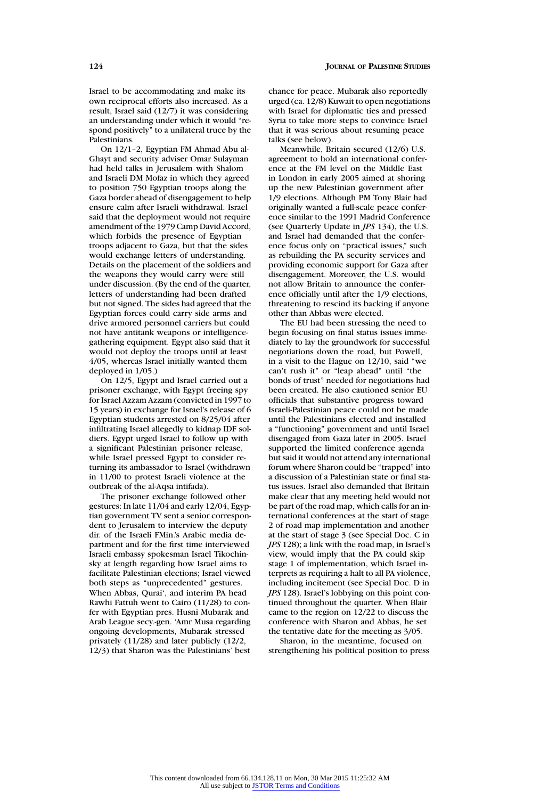Israel to be accommodating and make its own reciprocal efforts also increased. As a result, Israel said (12/7) it was considering an understanding under which it would "respond positively" to a unilateral truce by the Palestinians.

On 12/1–2, Egyptian FM Ahmad Abu al-Ghayt and security adviser Omar Sulayman had held talks in Jerusalem with Shalom and Israeli DM Mofaz in which they agreed to position 750 Egyptian troops along the Gaza border ahead of disengagement to help ensure calm after Israeli withdrawal. Israel said that the deployment would not require amendment of the 1979 Camp David Accord, which forbids the presence of Egyptian troops adjacent to Gaza, but that the sides would exchange letters of understanding. Details on the placement of the soldiers and the weapons they would carry were still under discussion. (By the end of the quarter, letters of understanding had been drafted but not signed. The sides had agreed that the Egyptian forces could carry side arms and drive armored personnel carriers but could not have antitank weapons or intelligencegathering equipment. Egypt also said that it would not deploy the troops until at least 4/05, whereas Israel initially wanted them deployed in 1/05.)

On 12/5, Egypt and Israel carried out a prisoner exchange, with Egypt freeing spy for Israel Azzam Azzam (convicted in 1997 to 15 years) in exchange for Israel's release of 6 Egyptian students arrested on 8/25/04 after infiltrating Israel allegedly to kidnap IDF soldiers. Egypt urged Israel to follow up with a significant Palestinian prisoner release, while Israel pressed Egypt to consider returning its ambassador to Israel (withdrawn in 11/00 to protest Israeli violence at the outbreak of the al-Aqsa intifada).

The prisoner exchange followed other gestures: In late 11/04 and early 12/04, Egyptian government TV sent a senior correspondent to Jerusalem to interview the deputy dir. of the Israeli FMin.'s Arabic media department and for the first time interviewed Israeli embassy spokesman Israel Tikochinsky at length regarding how Israel aims to facilitate Palestinian elections; Israel viewed both steps as "unprecedented" gestures. When Abbas, Qurai', and interim PA head Rawhi Fattuh went to Cairo (11/28) to confer with Egyptian pres. Husni Mubarak and Arab League secy.-gen. 'Amr Musa regarding ongoing developments, Mubarak stressed privately (11/28) and later publicly (12/2, 12/3) that Sharon was the Palestinians' best

chance for peace. Mubarak also reportedly urged (ca. 12/8) Kuwait to open negotiations with Israel for diplomatic ties and pressed Syria to take more steps to convince Israel that it was serious about resuming peace talks (see below).

Meanwhile, Britain secured (12/6) U.S. agreement to hold an international conference at the FM level on the Middle East in London in early 2005 aimed at shoring up the new Palestinian government after 1/9 elections. Although PM Tony Blair had originally wanted a full-scale peace conference similar to the 1991 Madrid Conference (see Quarterly Update in *JPS* 134), the U.S. and Israel had demanded that the conference focus only on "practical issues," such as rebuilding the PA security services and providing economic support for Gaza after disengagement. Moreover, the U.S. would not allow Britain to announce the conference officially until after the 1/9 elections, threatening to rescind its backing if anyone other than Abbas were elected.

The EU had been stressing the need to begin focusing on final status issues immediately to lay the groundwork for successful negotiations down the road, but Powell, in a visit to the Hague on 12/10, said "we can't rush it" or "leap ahead" until "the bonds of trust" needed for negotiations had been created. He also cautioned senior EU officials that substantive progress toward Israeli-Palestinian peace could not be made until the Palestinians elected and installed a "functioning" government and until Israel disengaged from Gaza later in 2005. Israel supported the limited conference agenda but said it would not attend any international forum where Sharon could be "trapped" into a discussion of a Palestinian state or final status issues. Israel also demanded that Britain make clear that any meeting held would not be part of the road map, which calls for an international conferences at the start of stage 2 of road map implementation and another at the start of stage 3 (see Special Doc. C in *JPS* 128); a link with the road map, in Israel's view, would imply that the PA could skip stage 1 of implementation, which Israel interprets as requiring a halt to all PA violence, including incitement (see Special Doc. D in *JPS* 128). Israel's lobbying on this point continued throughout the quarter. When Blair came to the region on 12/22 to discuss the conference with Sharon and Abbas, he set the tentative date for the meeting as 3/05.

Sharon, in the meantime, focused on strengthening his political position to press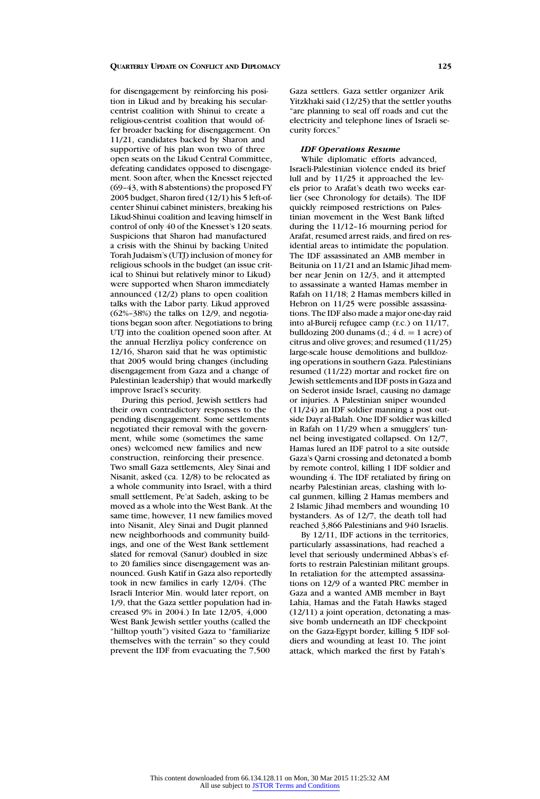for disengagement by reinforcing his position in Likud and by breaking his secularcentrist coalition with Shinui to create a religious-centrist coalition that would offer broader backing for disengagement. On 11/21, candidates backed by Sharon and supportive of his plan won two of three open seats on the Likud Central Committee, defeating candidates opposed to disengagement. Soon after, when the Knesset rejected (69–43, with 8 abstentions) the proposed FY 2005 budget, Sharon fired (12/1) his 5 left-ofcenter Shinui cabinet ministers, breaking his Likud-Shinui coalition and leaving himself in control of only 40 of the Knesset's 120 seats. Suspicions that Sharon had manufactured a crisis with the Shinui by backing United Torah Judaism's (UTJ) inclusion of money for religious schools in the budget (an issue critical to Shinui but relatively minor to Likud) were supported when Sharon immediately announced (12/2) plans to open coalition talks with the Labor party. Likud approved (62%–38%) the talks on 12/9, and negotiations began soon after. Negotiations to bring UTJ into the coalition opened soon after. At the annual Herzliya policy conference on 12/16, Sharon said that he was optimistic that 2005 would bring changes (including disengagement from Gaza and a change of Palestinian leadership) that would markedly improve Israel's security.

During this period, Jewish settlers had their own contradictory responses to the pending disengagement. Some settlements negotiated their removal with the government, while some (sometimes the same ones) welcomed new families and new construction, reinforcing their presence. Two small Gaza settlements, Aley Sinai and Nisanit, asked (ca. 12/8) to be relocated as a whole community into Israel, with a third small settlement, Pe'at Sadeh, asking to be moved as a whole into the West Bank. At the same time, however, 11 new families moved into Nisanit, Aley Sinai and Dugit planned new neighborhoods and community buildings, and one of the West Bank settlement slated for removal (Sanur) doubled in size to 20 families since disengagement was announced. Gush Katif in Gaza also reportedly took in new families in early  $12/04$ . (The Israeli Interior Min. would later report, on 1/9, that the Gaza settler population had increased 9% in 2004.) In late 12/05, 4,000 West Bank Jewish settler youths (called the "hilltop youth") visited Gaza to "familiarize themselves with the terrain" so they could prevent the IDF from evacuating the 7,500

Gaza settlers. Gaza settler organizer Arik Yitzkhaki said (12/25) that the settler youths "are planning to seal off roads and cut the electricity and telephone lines of Israeli security forces."

# *IDF Operations Resume*

While diplomatic efforts advanced, Israeli-Palestinian violence ended its brief lull and by 11/25 it approached the levels prior to Arafat's death two weeks earlier (see Chronology for details). The IDF quickly reimposed restrictions on Palestinian movement in the West Bank lifted during the 11/12–16 mourning period for Arafat, resumed arrest raids, and fired on residential areas to intimidate the population. The IDF assassinated an AMB member in Beitunia on 11/21 and an Islamic Jihad member near Jenin on 12/3, and it attempted to assassinate a wanted Hamas member in Rafah on 11/18; 2 Hamas members killed in Hebron on 11/25 were possible assassinations. The IDF also made a major one-day raid into al-Bureij refugee camp (r.c.) on 11/17, bulldozing 200 dunams (d.;  $4 d = 1$  acre) of citrus and olive groves; and resumed (11/25) large-scale house demolitions and bulldozing operations in southern Gaza. Palestinians resumed (11/22) mortar and rocket fire on Jewish settlements and IDF posts in Gaza and on Sederot inside Israel, causing no damage or injuries. A Palestinian sniper wounded (11/24) an IDF soldier manning a post outside Dayr al-Balah. One IDF soldier was killed in Rafah on 11/29 when a smugglers' tunnel being investigated collapsed. On 12/7, Hamas lured an IDF patrol to a site outside Gaza's Qarni crossing and detonated a bomb by remote control, killing 1 IDF soldier and wounding 4. The IDF retaliated by firing on nearby Palestinian areas, clashing with local gunmen, killing 2 Hamas members and 2 Islamic Jihad members and wounding 10 bystanders. As of 12/7, the death toll had reached 3,866 Palestinians and 940 Israelis.

By 12/11, IDF actions in the territories, particularly assassinations, had reached a level that seriously undermined Abbas's efforts to restrain Palestinian militant groups. In retaliation for the attempted assassinations on 12/9 of a wanted PRC member in Gaza and a wanted AMB member in Bayt Lahia, Hamas and the Fatah Hawks staged (12/11) a joint operation, detonating a massive bomb underneath an IDF checkpoint on the Gaza-Egypt border, killing 5 IDF soldiers and wounding at least 10. The joint attack, which marked the first by Fatah's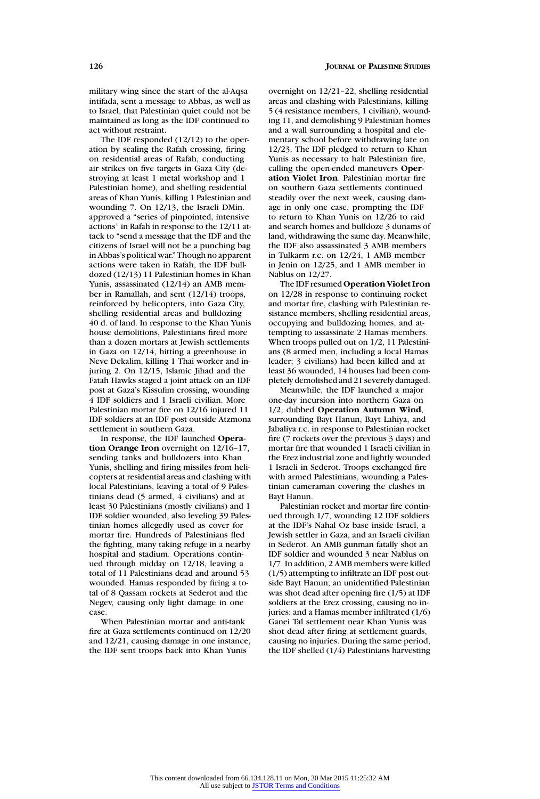military wing since the start of the al-Aqsa intifada, sent a message to Abbas, as well as to Israel, that Palestinian quiet could not be maintained as long as the IDF continued to act without restraint.

The IDF responded (12/12) to the operation by sealing the Rafah crossing, firing on residential areas of Rafah, conducting air strikes on five targets in Gaza City (destroying at least 1 metal workshop and 1 Palestinian home), and shelling residential areas of Khan Yunis, killing 1 Palestinian and wounding 7. On 12/13, the Israeli DMin. approved a "series of pinpointed, intensive actions" in Rafah in response to the 12/11 attack to "send a message that the IDF and the citizens of Israel will not be a punching bag in Abbas's political war." Though no apparent actions were taken in Rafah, the IDF bulldozed (12/13) 11 Palestinian homes in Khan Yunis, assassinated (12/14) an AMB member in Ramallah, and sent (12/14) troops, reinforced by helicopters, into Gaza City, shelling residential areas and bulldozing 40 d. of land. In response to the Khan Yunis house demolitions, Palestinians fired more than a dozen mortars at Jewish settlements in Gaza on 12/14, hitting a greenhouse in Neve Dekalim, killing 1 Thai worker and injuring 2. On 12/15, Islamic Jihad and the Fatah Hawks staged a joint attack on an IDF post at Gaza's Kissufim crossing, wounding 4 IDF soldiers and 1 Israeli civilian. More Palestinian mortar fire on 12/16 injured 11 IDF soldiers at an IDF post outside Atzmona settlement in southern Gaza.

In response, the IDF launched **Operation Orange Iron** overnight on 12/16–17, sending tanks and bulldozers into Khan Yunis, shelling and firing missiles from helicopters at residential areas and clashing with local Palestinians, leaving a total of 9 Palestinians dead (5 armed, 4 civilians) and at least 30 Palestinians (mostly civilians) and 1 IDF soldier wounded, also leveling 39 Palestinian homes allegedly used as cover for mortar fire. Hundreds of Palestinians fled the fighting, many taking refuge in a nearby hospital and stadium. Operations continued through midday on 12/18, leaving a total of 11 Palestinians dead and around 53 wounded. Hamas responded by firing a total of 8 Qassam rockets at Sederot and the Negev, causing only light damage in one case.

When Palestinian mortar and anti-tank fire at Gaza settlements continued on 12/20 and 12/21, causing damage in one instance, the IDF sent troops back into Khan Yunis

overnight on 12/21–22, shelling residential areas and clashing with Palestinians, killing 5 (4 resistance members, 1 civilian), wounding 11, and demolishing 9 Palestinian homes and a wall surrounding a hospital and elementary school before withdrawing late on 12/23. The IDF pledged to return to Khan Yunis as necessary to halt Palestinian fire, calling the open-ended maneuvers **Operation Violet Iron**. Palestinian mortar fire on southern Gaza settlements continued steadily over the next week, causing damage in only one case, prompting the IDF to return to Khan Yunis on 12/26 to raid and search homes and bulldoze 3 dunams of land, withdrawing the same day. Meanwhile, the IDF also assassinated 3 AMB members in Tulkarm r.c. on 12/24, 1 AMB member in Jenin on 12/25, and 1 AMB member in Nablus on 12/27.

The IDF resumed **Operation Violet Iron** on 12/28 in response to continuing rocket and mortar fire, clashing with Palestinian resistance members, shelling residential areas, occupying and bulldozing homes, and attempting to assassinate 2 Hamas members. When troops pulled out on 1/2, 11 Palestinians (8 armed men, including a local Hamas leader; 3 civilians) had been killed and at least 36 wounded, 14 houses had been completely demolished and 21 severely damaged.

Meanwhile, the IDF launched a major one-day incursion into northern Gaza on 1/2, dubbed **Operation Autumn Wind**, surrounding Bayt Hanun, Bayt Lahiya, and Jabaliya r.c. in response to Palestinian rocket fire (7 rockets over the previous 3 days) and mortar fire that wounded 1 Israeli civilian in the Erez industrial zone and lightly wounded 1 Israeli in Sederot. Troops exchanged fire with armed Palestinians, wounding a Palestinian cameraman covering the clashes in Bayt Hanun.

Palestinian rocket and mortar fire continued through 1/7, wounding 12 IDF soldiers at the IDF's Nahal Oz base inside Israel, a Jewish settler in Gaza, and an Israeli civilian in Sederot. An AMB gunman fatally shot an IDF soldier and wounded 3 near Nablus on 1/7. In addition, 2 AMB members were killed (1/5) attempting to infiltrate an IDF post outside Bayt Hanun; an unidentified Palestinian was shot dead after opening fire (1/5) at IDF soldiers at the Erez crossing, causing no injuries; and a Hamas member infiltrated (1/6) Ganei Tal settlement near Khan Yunis was shot dead after firing at settlement guards, causing no injuries. During the same period, the IDF shelled (1/4) Palestinians harvesting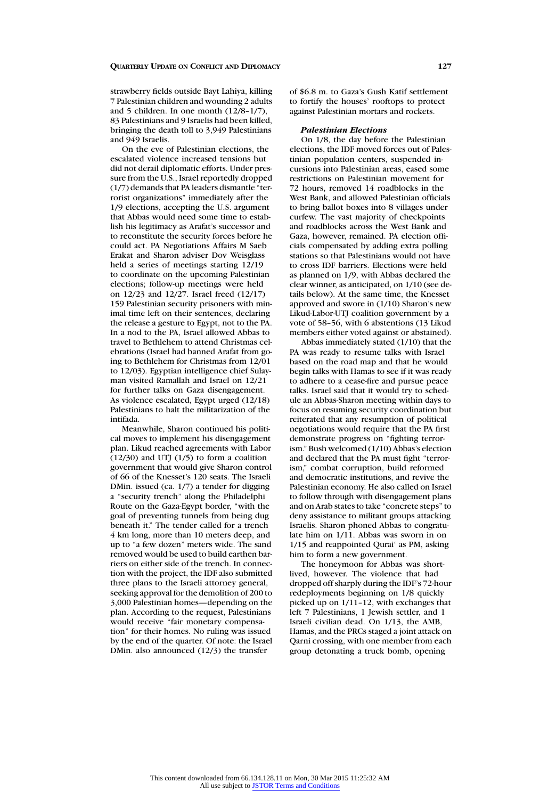strawberry fields outside Bayt Lahiya, killing 7 Palestinian children and wounding 2 adults and 5 children. In one month (12/8–1/7), 83 Palestinians and 9 Israelis had been killed, bringing the death toll to 3,949 Palestinians and 949 Israelis.

On the eve of Palestinian elections, the escalated violence increased tensions but did not derail diplomatic efforts. Under pressure from the U.S., Israel reportedly dropped (1/7) demands that PA leaders dismantle "terrorist organizations" immediately after the 1/9 elections, accepting the U.S. argument that Abbas would need some time to establish his legitimacy as Arafat's successor and to reconstitute the security forces before he could act. PA Negotiations Affairs M Saeb Erakat and Sharon adviser Dov Weisglass held a series of meetings starting 12/19 to coordinate on the upcoming Palestinian elections; follow-up meetings were held on 12/23 and 12/27. Israel freed (12/17) 159 Palestinian security prisoners with minimal time left on their sentences, declaring the release a gesture to Egypt, not to the PA. In a nod to the PA, Israel allowed Abbas to travel to Bethlehem to attend Christmas celebrations (Israel had banned Arafat from going to Bethlehem for Christmas from 12/01 to 12/03). Egyptian intelligence chief Sulayman visited Ramallah and Israel on 12/21 for further talks on Gaza disengagement. As violence escalated, Egypt urged (12/18) Palestinians to halt the militarization of the intifada.

Meanwhile, Sharon continued his political moves to implement his disengagement plan. Likud reached agreements with Labor  $(12/30)$  and UTJ  $(1/5)$  to form a coalition government that would give Sharon control of 66 of the Knesset's 120 seats. The Israeli DMin. issued (ca. 1/7) a tender for digging a "security trench" along the Philadelphi Route on the Gaza-Egypt border, "with the goal of preventing tunnels from being dug beneath it." The tender called for a trench 4 km long, more than 10 meters deep, and up to "a few dozen" meters wide. The sand removed would be used to build earthen barriers on either side of the trench. In connection with the project, the IDF also submitted three plans to the Israeli attorney general, seeking approval for the demolition of 200 to 3,000 Palestinian homes—depending on the plan. According to the request, Palestinians would receive "fair monetary compensation" for their homes. No ruling was issued by the end of the quarter. Of note: the Israel DMin. also announced (12/3) the transfer

### *Palestinian Elections*

On 1/8, the day before the Palestinian elections, the IDF moved forces out of Palestinian population centers, suspended incursions into Palestinian areas, eased some restrictions on Palestinian movement for 72 hours, removed 14 roadblocks in the West Bank, and allowed Palestinian officials to bring ballot boxes into 8 villages under curfew. The vast majority of checkpoints and roadblocks across the West Bank and Gaza, however, remained. PA election officials compensated by adding extra polling stations so that Palestinians would not have to cross IDF barriers. Elections were held as planned on 1/9, with Abbas declared the clear winner, as anticipated, on 1/10 (see details below). At the same time, the Knesset approved and swore in (1/10) Sharon's new Likud-Labor-UTJ coalition government by a vote of 58–56, with 6 abstentions (13 Likud members either voted against or abstained).

Abbas immediately stated (1/10) that the PA was ready to resume talks with Israel based on the road map and that he would begin talks with Hamas to see if it was ready to adhere to a cease-fire and pursue peace talks. Israel said that it would try to schedule an Abbas-Sharon meeting within days to focus on resuming security coordination but reiterated that any resumption of political negotiations would require that the PA first demonstrate progress on "fighting terrorism." Bush welcomed (1/10) Abbas's election and declared that the PA must fight "terrorism," combat corruption, build reformed and democratic institutions, and revive the Palestinian economy. He also called on Israel to follow through with disengagement plans and on Arab states to take "concrete steps" to deny assistance to militant groups attacking Israelis. Sharon phoned Abbas to congratulate him on 1/11. Abbas was sworn in on 1/15 and reappointed Qurai' as PM, asking him to form a new government.

The honeymoon for Abbas was shortlived, however. The violence that had dropped off sharply during the IDF's 72-hour redeployments beginning on 1/8 quickly picked up on 1/11–12, with exchanges that left 7 Palestinians, 1 Jewish settler, and 1 Israeli civilian dead. On 1/13, the AMB, Hamas, and the PRCs staged a joint attack on Qarni crossing, with one member from each group detonating a truck bomb, opening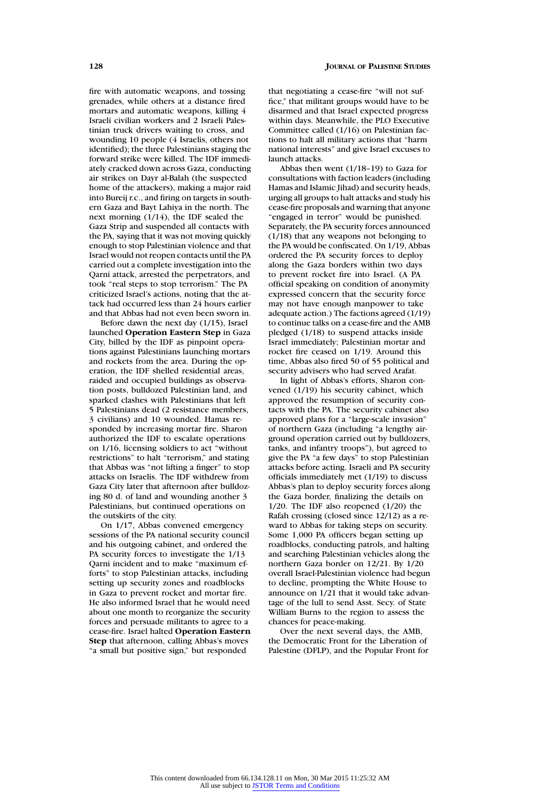fire with automatic weapons, and tossing grenades, while others at a distance fired mortars and automatic weapons, killing 4 Israeli civilian workers and 2 Israeli Palestinian truck drivers waiting to cross, and wounding 10 people (4 Israelis, others not identified); the three Palestinians staging the forward strike were killed. The IDF immediately cracked down across Gaza, conducting air strikes on Dayr al-Balah (the suspected home of the attackers), making a major raid into Bureij r.c., and firing on targets in southern Gaza and Bayt Lahiya in the north. The next morning (1/14), the IDF sealed the Gaza Strip and suspended all contacts with the PA, saying that it was not moving quickly enough to stop Palestinian violence and that Israel would not reopen contacts until the PA carried out a complete investigation into the Qarni attack, arrested the perpetrators, and took "real steps to stop terrorism." The PA criticized Israel's actions, noting that the attack had occurred less than 24 hours earlier and that Abbas had not even been sworn in.

Before dawn the next day (1/15), Israel launched **Operation Eastern Step** in Gaza City, billed by the IDF as pinpoint operations against Palestinians launching mortars and rockets from the area. During the operation, the IDF shelled residential areas, raided and occupied buildings as observation posts, bulldozed Palestinian land, and sparked clashes with Palestinians that left 5 Palestinians dead (2 resistance members, 3 civilians) and 10 wounded. Hamas responded by increasing mortar fire. Sharon authorized the IDF to escalate operations on 1/16, licensing soldiers to act "without restrictions" to halt "terrorism," and stating that Abbas was "not lifting a finger" to stop attacks on Israelis. The IDF withdrew from Gaza City later that afternoon after bulldozing 80 d. of land and wounding another 3 Palestinians, but continued operations on the outskirts of the city.

On 1/17, Abbas convened emergency sessions of the PA national security council and his outgoing cabinet, and ordered the PA security forces to investigate the 1/13 Qarni incident and to make "maximum efforts" to stop Palestinian attacks, including setting up security zones and roadblocks in Gaza to prevent rocket and mortar fire. He also informed Israel that he would need about one month to reorganize the security forces and persuade militants to agree to a cease-fire. Israel halted **Operation Eastern Step** that afternoon, calling Abbas's moves "a small but positive sign," but responded

that negotiating a cease-fire "will not suffice," that militant groups would have to be disarmed and that Israel expected progress within days. Meanwhile, the PLO Executive Committee called (1/16) on Palestinian factions to halt all military actions that "harm national interests" and give Israel excuses to launch attacks.

Abbas then went (1/18–19) to Gaza for consultations with faction leaders (including Hamas and Islamic Jihad) and security heads, urging all groups to halt attacks and study his cease-fire proposals and warning that anyone "engaged in terror" would be punished. Separately, the PA security forces announced (1/18) that any weapons not belonging to the PA would be confiscated. On 1/19, Abbas ordered the PA security forces to deploy along the Gaza borders within two days to prevent rocket fire into Israel. (A PA official speaking on condition of anonymity expressed concern that the security force may not have enough manpower to take adequate action.) The factions agreed (1/19) to continue talks on a cease-fire and the AMB pledged (1/18) to suspend attacks inside Israel immediately; Palestinian mortar and rocket fire ceased on 1/19. Around this time, Abbas also fired 50 of 55 political and security advisers who had served Arafat.

In light of Abbas's efforts, Sharon convened (1/19) his security cabinet, which approved the resumption of security contacts with the PA. The security cabinet also approved plans for a "large-scale invasion" of northern Gaza (including "a lengthy airground operation carried out by bulldozers, tanks, and infantry troops"), but agreed to give the PA "a few days" to stop Palestinian attacks before acting. Israeli and PA security officials immediately met (1/19) to discuss Abbas's plan to deploy security forces along the Gaza border, finalizing the details on 1/20. The IDF also reopened (1/20) the Rafah crossing (closed since 12/12) as a reward to Abbas for taking steps on security. Some 1,000 PA officers began setting up roadblocks, conducting patrols, and halting and searching Palestinian vehicles along the northern Gaza border on 12/21. By 1/20 overall Israel-Palestinian violence had begun to decline, prompting the White House to announce on 1/21 that it would take advantage of the lull to send Asst. Secy. of State William Burns to the region to assess the chances for peace-making.

Over the next several days, the AMB, the Democratic Front for the Liberation of Palestine (DFLP), and the Popular Front for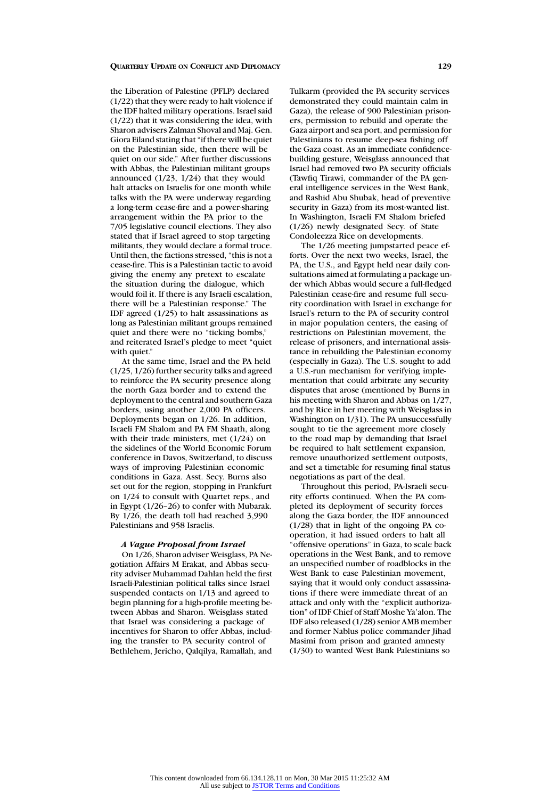the Liberation of Palestine (PFLP) declared (1/22) that they were ready to halt violence if the IDF halted military operations. Israel said (1/22) that it was considering the idea, with Sharon advisers Zalman Shoval and Maj. Gen. Giora Eiland stating that "if there will be quiet on the Palestinian side, then there will be quiet on our side." After further discussions with Abbas, the Palestinian militant groups announced (1/23, 1/24) that they would halt attacks on Israelis for one month while talks with the PA were underway regarding a long-term cease-fire and a power-sharing arrangement within the PA prior to the 7/05 legislative council elections. They also stated that if Israel agreed to stop targeting militants, they would declare a formal truce. Until then, the factions stressed, "this is not a cease-fire. This is a Palestinian tactic to avoid giving the enemy any pretext to escalate the situation during the dialogue, which would foil it. If there is any Israeli escalation, there will be a Palestinian response." The IDF agreed (1/25) to halt assassinations as long as Palestinian militant groups remained quiet and there were no "ticking bombs," and reiterated Israel's pledge to meet "quiet with quiet."

At the same time, Israel and the PA held (1/25, 1/26) further security talks and agreed to reinforce the PA security presence along the north Gaza border and to extend the deployment to the central and southern Gaza borders, using another 2,000 PA officers. Deployments began on 1/26. In addition, Israeli FM Shalom and PA FM Shaath, along with their trade ministers, met (1/24) on the sidelines of the World Economic Forum conference in Davos, Switzerland, to discuss ways of improving Palestinian economic conditions in Gaza. Asst. Secy. Burns also set out for the region, stopping in Frankfurt on 1/24 to consult with Quartet reps., and in Egypt (1/26–26) to confer with Mubarak. By 1/26, the death toll had reached 3,990 Palestinians and 958 Israelis.

### *A Vague Proposal from Israel*

On 1/26, Sharon adviser Weisglass, PA Negotiation Affairs M Erakat, and Abbas security adviser Muhammad Dahlan held the first Israeli-Palestinian political talks since Israel suspended contacts on 1/13 and agreed to begin planning for a high-profile meeting between Abbas and Sharon. Weisglass stated that Israel was considering a package of incentives for Sharon to offer Abbas, including the transfer to PA security control of Bethlehem, Jericho, Qalqilya, Ramallah, and

Tulkarm (provided the PA security services demonstrated they could maintain calm in Gaza), the release of 900 Palestinian prisoners, permission to rebuild and operate the Gaza airport and sea port, and permission for Palestinians to resume deep-sea fishing off the Gaza coast. As an immediate confidencebuilding gesture, Weisglass announced that Israel had removed two PA security officials (Tawfiq Tirawi, commander of the PA general intelligence services in the West Bank, and Rashid Abu Shubak, head of preventive security in Gaza) from its most-wanted list. In Washington, Israeli FM Shalom briefed (1/26) newly designated Secy. of State Condoleezza Rice on developments.

The 1/26 meeting jumpstarted peace efforts. Over the next two weeks, Israel, the PA, the U.S., and Egypt held near daily consultations aimed at formulating a package under which Abbas would secure a full-fledged Palestinian cease-fire and resume full security coordination with Israel in exchange for Israel's return to the PA of security control in major population centers, the easing of restrictions on Palestinian movement, the release of prisoners, and international assistance in rebuilding the Palestinian economy (especially in Gaza). The U.S. sought to add a U.S.-run mechanism for verifying implementation that could arbitrate any security disputes that arose (mentioned by Burns in his meeting with Sharon and Abbas on 1/27, and by Rice in her meeting with Weisglass in Washington on 1/31). The PA unsuccessfully sought to tie the agreement more closely to the road map by demanding that Israel be required to halt settlement expansion, remove unauthorized settlement outposts, and set a timetable for resuming final status negotiations as part of the deal.

Throughout this period, PA-Israeli security efforts continued. When the PA completed its deployment of security forces along the Gaza border, the IDF announced (1/28) that in light of the ongoing PA cooperation, it had issued orders to halt all "offensive operations" in Gaza, to scale back operations in the West Bank, and to remove an unspecified number of roadblocks in the West Bank to ease Palestinian movement. saying that it would only conduct assassinations if there were immediate threat of an attack and only with the "explicit authorization" of IDF Chief of Staff Moshe Ya'alon. The IDF also released (1/28) senior AMB member and former Nablus police commander Jihad Masimi from prison and granted amnesty (1/30) to wanted West Bank Palestinians so

All use subject to [JSTOR Terms and Conditions](http://www.jstor.org/page/info/about/policies/terms.jsp)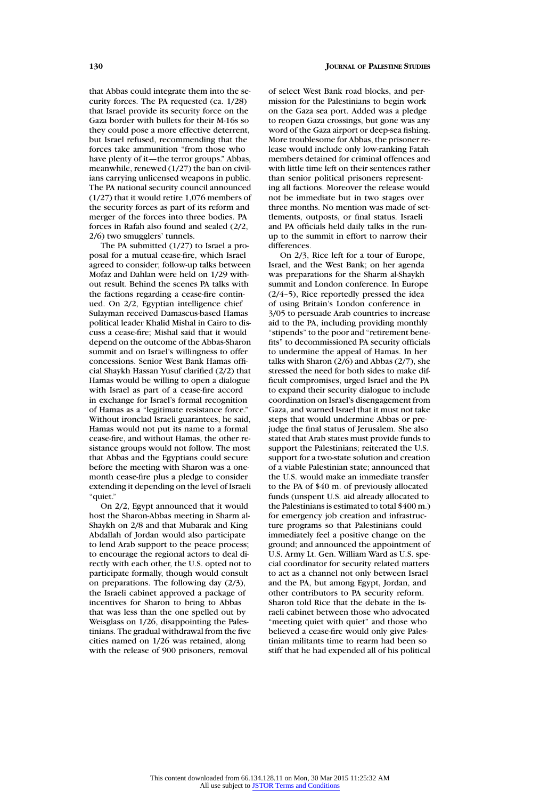that Abbas could integrate them into the security forces. The PA requested (ca. 1/28) that Israel provide its security force on the Gaza border with bullets for their M-16s so they could pose a more effective deterrent, but Israel refused, recommending that the forces take ammunition "from those who have plenty of it—the terror groups." Abbas, meanwhile, renewed (1/27) the ban on civilians carrying unlicensed weapons in public. The PA national security council announced (1/27) that it would retire 1,076 members of the security forces as part of its reform and merger of the forces into three bodies. PA forces in Rafah also found and sealed (2/2, 2/6) two smugglers' tunnels.

The PA submitted (1/27) to Israel a proposal for a mutual cease-fire, which Israel agreed to consider; follow-up talks between Mofaz and Dahlan were held on 1/29 without result. Behind the scenes PA talks with the factions regarding a cease-fire continued. On 2/2, Egyptian intelligence chief Sulayman received Damascus-based Hamas political leader Khalid Mishal in Cairo to discuss a cease-fire; Mishal said that it would depend on the outcome of the Abbas-Sharon summit and on Israel's willingness to offer concessions. Senior West Bank Hamas official Shaykh Hassan Yusuf clarified (2/2) that Hamas would be willing to open a dialogue with Israel as part of a cease-fire accord in exchange for Israel's formal recognition of Hamas as a "legitimate resistance force." Without ironclad Israeli guarantees, he said, Hamas would not put its name to a formal cease-fire, and without Hamas, the other resistance groups would not follow. The most that Abbas and the Egyptians could secure before the meeting with Sharon was a onemonth cease-fire plus a pledge to consider extending it depending on the level of Israeli "quiet."

On 2/2, Egypt announced that it would host the Sharon-Abbas meeting in Sharm al-Shaykh on 2/8 and that Mubarak and King Abdallah of Jordan would also participate to lend Arab support to the peace process; to encourage the regional actors to deal directly with each other, the U.S. opted not to participate formally, though would consult on preparations. The following day (2/3), the Israeli cabinet approved a package of incentives for Sharon to bring to Abbas that was less than the one spelled out by Weisglass on 1/26, disappointing the Palestinians. The gradual withdrawal from the five cities named on 1/26 was retained, along with the release of 900 prisoners, removal

of select West Bank road blocks, and permission for the Palestinians to begin work on the Gaza sea port. Added was a pledge to reopen Gaza crossings, but gone was any word of the Gaza airport or deep-sea fishing. More troublesome for Abbas, the prisoner release would include only low-ranking Fatah members detained for criminal offences and with little time left on their sentences rather than senior political prisoners representing all factions. Moreover the release would not be immediate but in two stages over three months. No mention was made of settlements, outposts, or final status. Israeli and PA officials held daily talks in the runup to the summit in effort to narrow their differences.

On 2/3, Rice left for a tour of Europe, Israel, and the West Bank; on her agenda was preparations for the Sharm al-Shaykh summit and London conference. In Europe (2/4–5), Rice reportedly pressed the idea of using Britain's London conference in 3/05 to persuade Arab countries to increase aid to the PA, including providing monthly "stipends" to the poor and "retirement benefits" to decommissioned PA security officials to undermine the appeal of Hamas. In her talks with Sharon (2/6) and Abbas (2/7), she stressed the need for both sides to make difficult compromises, urged Israel and the PA to expand their security dialogue to include coordination on Israel's disengagement from Gaza, and warned Israel that it must not take steps that would undermine Abbas or prejudge the final status of Jerusalem. She also stated that Arab states must provide funds to support the Palestinians; reiterated the U.S. support for a two-state solution and creation of a viable Palestinian state; announced that the U.S. would make an immediate transfer to the PA of \$40 m. of previously allocated funds (unspent U.S. aid already allocated to the Palestinians is estimated to total \$400 m.) for emergency job creation and infrastructure programs so that Palestinians could immediately feel a positive change on the ground; and announced the appointment of U.S. Army Lt. Gen. William Ward as U.S. special coordinator for security related matters to act as a channel not only between Israel and the PA, but among Egypt, Jordan, and other contributors to PA security reform. Sharon told Rice that the debate in the Israeli cabinet between those who advocated "meeting quiet with quiet" and those who believed a cease-fire would only give Palestinian militants time to rearm had been so stiff that he had expended all of his political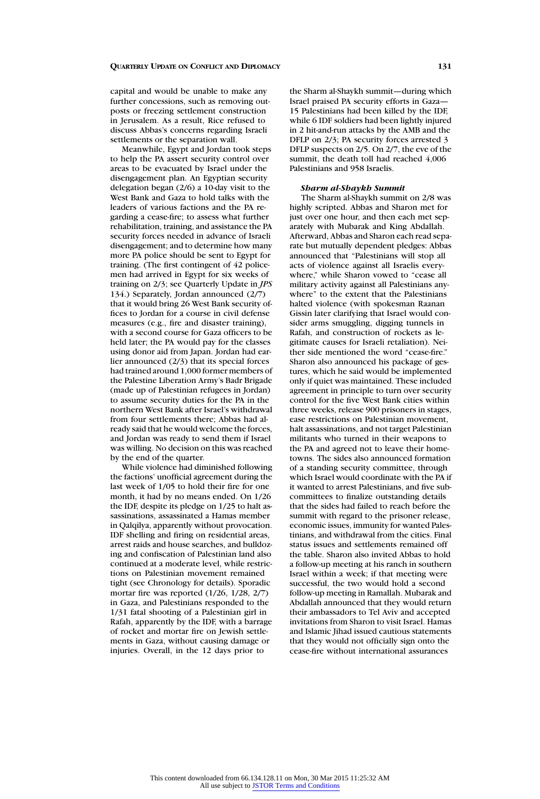capital and would be unable to make any further concessions, such as removing outposts or freezing settlement construction in Jerusalem. As a result, Rice refused to discuss Abbas's concerns regarding Israeli settlements or the separation wall.

Meanwhile, Egypt and Jordan took steps to help the PA assert security control over areas to be evacuated by Israel under the disengagement plan. An Egyptian security delegation began (2/6) a 10-day visit to the West Bank and Gaza to hold talks with the leaders of various factions and the PA regarding a cease-fire; to assess what further rehabilitation, training, and assistance the PA security forces needed in advance of Israeli disengagement; and to determine how many more PA police should be sent to Egypt for training. (The first contingent of 42 policemen had arrived in Egypt for six weeks of training on 2/3; see Quarterly Update in *JPS* 134.) Separately, Jordan announced (2/7) that it would bring 26 West Bank security offices to Jordan for a course in civil defense measures (e.g., fire and disaster training), with a second course for Gaza officers to be held later; the PA would pay for the classes using donor aid from Japan. Jordan had earlier announced (2/3) that its special forces had trained around 1,000 former members of the Palestine Liberation Army's Badr Brigade (made up of Palestinian refugees in Jordan) to assume security duties for the PA in the northern West Bank after Israel's withdrawal from four settlements there; Abbas had already said that he would welcome the forces, and Jordan was ready to send them if Israel was willing. No decision on this was reached by the end of the quarter.

While violence had diminished following the factions' unofficial agreement during the last week of 1/05 to hold their fire for one month, it had by no means ended. On 1/26 the IDF, despite its pledge on 1/25 to halt assassinations, assassinated a Hamas member in Qalqilya, apparently without provocation. IDF shelling and firing on residential areas, arrest raids and house searches, and bulldozing and confiscation of Palestinian land also continued at a moderate level, while restrictions on Palestinian movement remained tight (see Chronology for details). Sporadic mortar fire was reported (1/26, 1/28, 2/7) in Gaza, and Palestinians responded to the 1/31 fatal shooting of a Palestinian girl in Rafah, apparently by the IDF, with a barrage of rocket and mortar fire on Jewish settlements in Gaza, without causing damage or injuries. Overall, in the 12 days prior to

the Sharm al-Shaykh summit—during which Israel praised PA security efforts in Gaza— 15 Palestinians had been killed by the IDF, while 6 IDF soldiers had been lightly injured in 2 hit-and-run attacks by the AMB and the DFLP on 2/3; PA security forces arrested 3 DFLP suspects on 2/5. On 2/7, the eve of the summit, the death toll had reached  $4,006$ Palestinians and 958 Israelis.

### *Sharm al-Shaykh Summit*

The Sharm al-Shaykh summit on 2/8 was highly scripted. Abbas and Sharon met for just over one hour, and then each met separately with Mubarak and King Abdallah. Afterward, Abbas and Sharon each read separate but mutually dependent pledges: Abbas announced that "Palestinians will stop all acts of violence against all Israelis everywhere," while Sharon vowed to "cease all military activity against all Palestinians anywhere" to the extent that the Palestinians halted violence (with spokesman Raanan Gissin later clarifying that Israel would consider arms smuggling, digging tunnels in Rafah, and construction of rockets as legitimate causes for Israeli retaliation). Neither side mentioned the word "cease-fire." Sharon also announced his package of gestures, which he said would be implemented only if quiet was maintained. These included agreement in principle to turn over security control for the five West Bank cities within three weeks, release 900 prisoners in stages, ease restrictions on Palestinian movement, halt assassinations, and not target Palestinian militants who turned in their weapons to the PA and agreed not to leave their hometowns. The sides also announced formation of a standing security committee, through which Israel would coordinate with the PA if it wanted to arrest Palestinians, and five subcommittees to finalize outstanding details that the sides had failed to reach before the summit with regard to the prisoner release, economic issues, immunity for wanted Palestinians, and withdrawal from the cities. Final status issues and settlements remained off the table. Sharon also invited Abbas to hold a follow-up meeting at his ranch in southern Israel within a week; if that meeting were successful, the two would hold a second follow-up meeting in Ramallah. Mubarak and Abdallah announced that they would return their ambassadors to Tel Aviv and accepted invitations from Sharon to visit Israel. Hamas and Islamic Jihad issued cautious statements that they would not officially sign onto the cease-fire without international assurances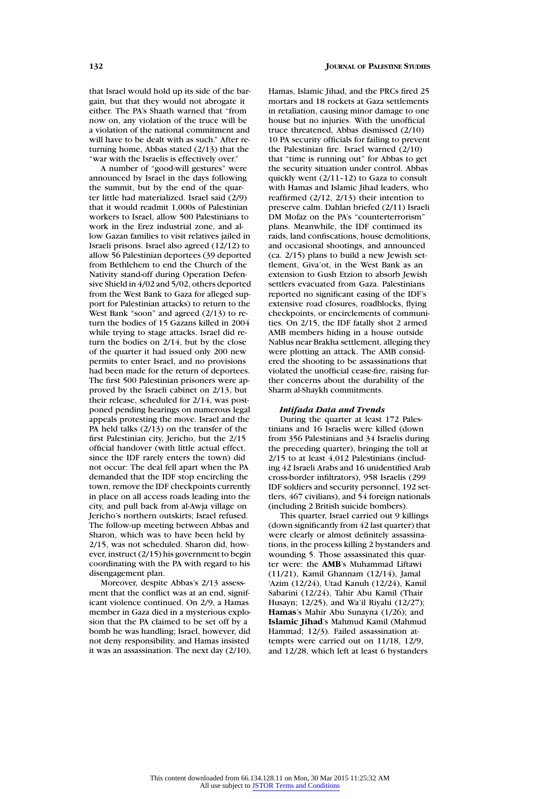that Israel would hold up its side of the bargain, but that they would not abrogate it either. The PA's Shaath warned that "from now on, any violation of the truce will be a violation of the national commitment and will have to be dealt with as such." After returning home, Abbas stated (2/13) that the "war with the Israelis is effectively over."

A number of "good-will gestures" were announced by Israel in the days following the summit, but by the end of the quarter little had materialized. Israel said (2/9) that it would readmit 1,000s of Palestinian workers to Israel, allow 500 Palestinians to work in the Erez industrial zone, and allow Gazan families to visit relatives jailed in Israeli prisons. Israel also agreed (12/12) to allow 56 Palestinian deportees (39 deported from Bethlehem to end the Church of the Nativity stand-off during Operation Defensive Shield in 4/02 and 5/02, others deported from the West Bank to Gaza for alleged support for Palestinian attacks) to return to the West Bank "soon" and agreed  $(2/13)$  to return the bodies of 15 Gazans killed in 2004 while trying to stage attacks. Israel did return the bodies on 2/14, but by the close of the quarter it had issued only 200 new permits to enter Israel, and no provisions had been made for the return of deportees. The first 500 Palestinian prisoners were approved by the Israeli cabinet on 2/13, but their release, scheduled for 2/14, was postponed pending hearings on numerous legal appeals protesting the move. Israel and the PA held talks (2/13) on the transfer of the first Palestinian city, Jericho, but the 2/15 official handover (with little actual effect, since the IDF rarely enters the town) did not occur: The deal fell apart when the PA demanded that the IDF stop encircling the town, remove the IDF checkpoints currently in place on all access roads leading into the city, and pull back from al-Awja village on Jericho's northern outskirts; Israel refused. The follow-up meeting between Abbas and Sharon, which was to have been held by 2/15, was not scheduled. Sharon did, however, instruct (2/15) his government to begin coordinating with the PA with regard to his disengagement plan.

Moreover, despite Abbas's 2/13 assessment that the conflict was at an end, significant violence continued. On 2/9, a Hamas member in Gaza died in a mysterious explosion that the PA claimed to be set off by a bomb he was handling; Israel, however, did not deny responsibility, and Hamas insisted it was an assassination. The next day (2/10), Hamas, Islamic Jihad, and the PRCs fired 25 mortars and 18 rockets at Gaza settlements in retaliation, causing minor damage to one house but no injuries. With the unofficial truce threatened, Abbas dismissed (2/10) 10 PA security officials for failing to prevent the Palestinian fire. Israel warned (2/10) that "time is running out" for Abbas to get the security situation under control. Abbas quickly went (2/11–12) to Gaza to consult with Hamas and Islamic Jihad leaders, who reaffirmed (2/12, 2/13) their intention to preserve calm. Dahlan briefed (2/11) Israeli DM Mofaz on the PA's "counterterrorism" plans. Meanwhile, the IDF continued its raids, land confiscations, house demolitions, and occasional shootings, and announced (ca. 2/15) plans to build a new Jewish settlement, Giva'ot, in the West Bank as an extension to Gush Etzion to absorb Jewish settlers evacuated from Gaza. Palestinians reported no significant easing of the IDF's extensive road closures, roadblocks, flying checkpoints, or encirclements of communities. On 2/15, the IDF fatally shot 2 armed AMB members hiding in a house outside Nablus near Brakha settlement, alleging they were plotting an attack. The AMB considered the shooting to be assassinations that violated the unofficial cease-fire, raising further concerns about the durability of the Sharm al-Shaykh commitments.

## *Intifada Data and Trends*

During the quarter at least 172 Palestinians and 16 Israelis were killed (down from 356 Palestinians and 34 Israelis during the preceding quarter), bringing the toll at 2/15 to at least 4,012 Palestinians (including 42 Israeli Arabs and 16 unidentified Arab cross-border infiltrators), 958 Israelis (299 IDF soldiers and security personnel, 192 settlers, 467 civilians), and 54 foreign nationals (including 2 British suicide bombers).

This quarter, Israel carried out 9 killings (down significantly from 42 last quarter) that were clearly or almost definitely assassinations, in the process killing 2 bystanders and wounding 5. Those assassinated this quarter were: the **AMB**'s Muhammad Liftawi (11/21), Kamil Ghannam (12/14), Jamal 'Azim (12/24), Utad Kanuh (12/24), Kamil Sabarini (12/24), Tahir Abu Kamil (Thair Husayn; 12/25), and Wa'il Riyahi (12/27); **Hamas**'s Mahir Abu Sunayna (1/26); and **Islamic Jihad**'s Mahmud Kamil (Mahmud Hammad; 12/3). Failed assassination attempts were carried out on 11/18, 12/9, and 12/28, which left at least 6 bystanders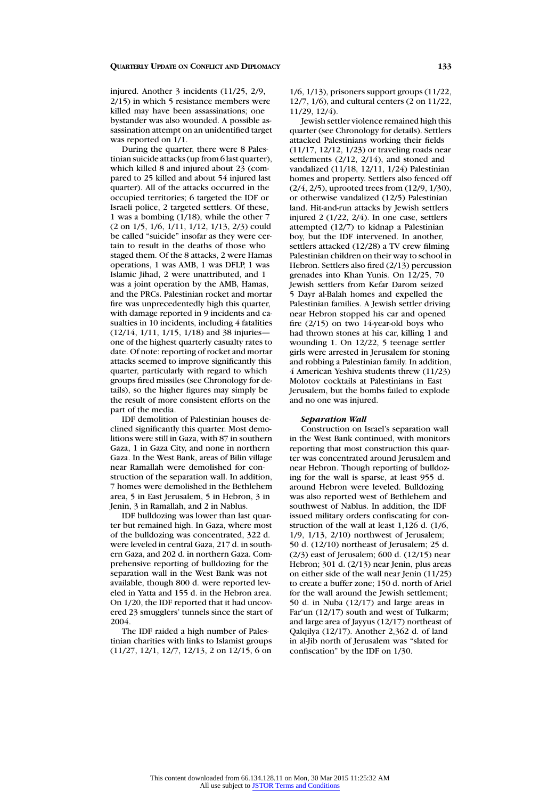injured. Another 3 incidents (11/25, 2/9, 2/15) in which 5 resistance members were killed may have been assassinations; one bystander was also wounded. A possible assassination attempt on an unidentified target was reported on 1/1.

During the quarter, there were 8 Palestinian suicide attacks (up from 6 last quarter), which killed 8 and injured about 23 (compared to 25 killed and about 54 injured last quarter). All of the attacks occurred in the occupied territories; 6 targeted the IDF or Israeli police, 2 targeted settlers. Of these, 1 was a bombing (1/18), while the other 7 (2 on 1/5, 1/6, 1/11, 1/12, 1/13, 2/3) could be called "suicide" insofar as they were certain to result in the deaths of those who staged them. Of the 8 attacks, 2 were Hamas operations, 1 was AMB, 1 was DFLP, 1 was Islamic Jihad, 2 were unattributed, and 1 was a joint operation by the AMB, Hamas, and the PRCs. Palestinian rocket and mortar fire was unprecedentedly high this quarter, with damage reported in 9 incidents and casualties in 10 incidents, including 4 fatalities (12/14, 1/11, 1/15, 1/18) and 38 injuries one of the highest quarterly casualty rates to date. Of note: reporting of rocket and mortar attacks seemed to improve significantly this quarter, particularly with regard to which groups fired missiles (see Chronology for details), so the higher figures may simply be the result of more consistent efforts on the part of the media.

IDF demolition of Palestinian houses declined significantly this quarter. Most demolitions were still in Gaza, with 87 in southern Gaza, 1 in Gaza City, and none in northern Gaza. In the West Bank, areas of Bilin village near Ramallah were demolished for construction of the separation wall. In addition, 7 homes were demolished in the Bethlehem area, 5 in East Jerusalem, 5 in Hebron, 3 in Jenin, 3 in Ramallah, and 2 in Nablus.

IDF bulldozing was lower than last quarter but remained high. In Gaza, where most of the bulldozing was concentrated, 322 d. were leveled in central Gaza, 217 d. in southern Gaza, and 202 d. in northern Gaza. Comprehensive reporting of bulldozing for the separation wall in the West Bank was not available, though 800 d. were reported leveled in Yatta and 155 d. in the Hebron area. On 1/20, the IDF reported that it had uncovered 23 smugglers' tunnels since the start of 2004.

The IDF raided a high number of Palestinian charities with links to Islamist groups (11/27, 12/1, 12/7, 12/13, 2 on 12/15, 6 on 1/6, 1/13), prisoners support groups (11/22, 12/7, 1/6), and cultural centers (2 on 11/22, 11/29, 12/4).

Jewish settler violence remained high this quarter (see Chronology for details). Settlers attacked Palestinians working their fields (11/17, 12/12, 1/23) or traveling roads near settlements (2/12, 2/14), and stoned and vandalized (11/18, 12/11, 1/24) Palestinian homes and property. Settlers also fenced off (2/4, 2/5), uprooted trees from (12/9, 1/30), or otherwise vandalized (12/5) Palestinian land. Hit-and-run attacks by Jewish settlers injured 2 (1/22, 2/4). In one case, settlers attempted (12/7) to kidnap a Palestinian boy, but the IDF intervened. In another, settlers attacked (12/28) a TV crew filming Palestinian children on their way to school in Hebron. Settlers also fired (2/13) percussion grenades into Khan Yunis. On 12/25, 70 Jewish settlers from Kefar Darom seized 5 Dayr al-Balah homes and expelled the Palestinian families. A Jewish settler driving near Hebron stopped his car and opened fire  $(2/15)$  on two 14-year-old boys who had thrown stones at his car, killing 1 and wounding 1. On 12/22, 5 teenage settler girls were arrested in Jerusalem for stoning and robbing a Palestinian family. In addition, 4 American Yeshiva students threw (11/23) Molotov cocktails at Palestinians in East Jerusalem, but the bombs failed to explode and no one was injured.

# *Separation Wall*

Construction on Israel's separation wall in the West Bank continued, with monitors reporting that most construction this quarter was concentrated around Jerusalem and near Hebron. Though reporting of bulldozing for the wall is sparse, at least 955 d. around Hebron were leveled. Bulldozing was also reported west of Bethlehem and southwest of Nablus. In addition, the IDF issued military orders confiscating for construction of the wall at least 1,126 d. (1/6, 1/9, 1/13, 2/10) northwest of Jerusalem; 50 d. (12/10) northeast of Jerusalem; 25 d. (2/3) east of Jerusalem; 600 d. (12/15) near Hebron; 301 d. (2/13) near Jenin, plus areas on either side of the wall near Jenin (11/25) to create a buffer zone; 150 d. north of Ariel for the wall around the Jewish settlement; 50 d. in Nuba (12/17) and large areas in Far'un (12/17) south and west of Tulkarm; and large area of Jayyus (12/17) northeast of Qalqilya (12/17). Another 2,362 d. of land in al-Jib north of Jerusalem was "slated for confiscation" by the IDF on 1/30.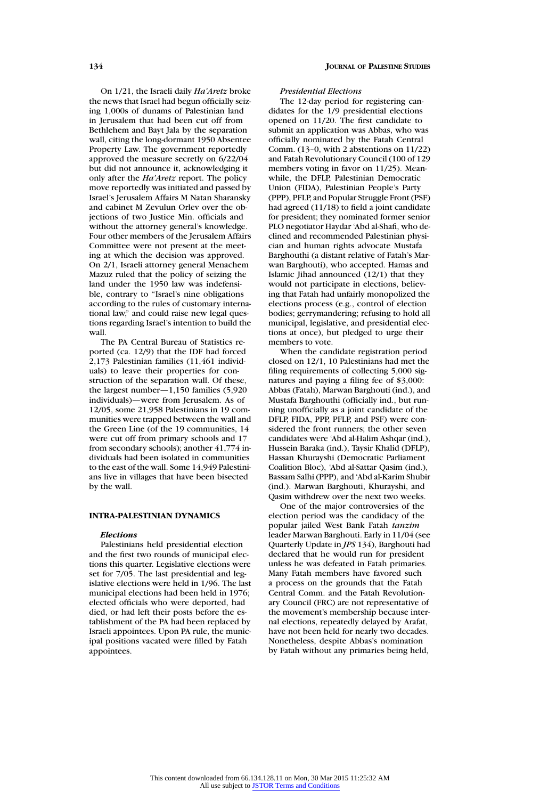On 1/21, the Israeli daily *Ha'Aretz* broke the news that Israel had begun officially seizing 1,000s of dunams of Palestinian land in Jerusalem that had been cut off from Bethlehem and Bayt Jala by the separation wall, citing the long-dormant 1950 Absentee Property Law. The government reportedly approved the measure secretly on 6/22/04 but did not announce it, acknowledging it only after the *Ha'Aretz* report. The policy move reportedly was initiated and passed by Israel's Jerusalem Affairs M Natan Sharansky and cabinet M Zevulun Orlev over the objections of two Justice Min. officials and without the attorney general's knowledge. Four other members of the Jerusalem Affairs Committee were not present at the meeting at which the decision was approved. On 2/1, Israeli attorney general Menachem Mazuz ruled that the policy of seizing the land under the 1950 law was indefensible, contrary to "Israel's nine obligations according to the rules of customary international law," and could raise new legal questions regarding Israel's intention to build the wall.

The PA Central Bureau of Statistics reported (ca. 12/9) that the IDF had forced 2,173 Palestinian families (11,461 individuals) to leave their properties for construction of the separation wall. Of these, the largest number—1,150 families (5,920 individuals)—were from Jerusalem. As of 12/05, some 21,958 Palestinians in 19 communities were trapped between the wall and the Green Line (of the 19 communities, 14 were cut off from primary schools and 17 from secondary schools); another 41,774 individuals had been isolated in communities to the east of the wall. Some 14,949 Palestinians live in villages that have been bisected by the wall.

# **INTRA-PALESTINIAN DYNAMICS**

#### *Elections*

Palestinians held presidential election and the first two rounds of municipal elections this quarter. Legislative elections were set for 7/05. The last presidential and legislative elections were held in 1/96. The last municipal elections had been held in 1976; elected officials who were deported, had died, or had left their posts before the establishment of the PA had been replaced by Israeli appointees. Upon PA rule, the municipal positions vacated were filled by Fatah appointees.

# *Presidential Elections*

The 12-day period for registering candidates for the 1/9 presidential elections opened on 11/20. The first candidate to submit an application was Abbas, who was officially nominated by the Fatah Central Comm. (13–0, with 2 abstentions on 11/22) and Fatah Revolutionary Council (100 of 129 members voting in favor on 11/25). Meanwhile, the DFLP, Palestinian Democratic Union (FIDA), Palestinian People's Party (PPP), PFLP, and Popular Struggle Front (PSF) had agreed (11/18) to field a joint candidate for president; they nominated former senior PLO negotiator Haydar 'Abd al-Shafi, who declined and recommended Palestinian physician and human rights advocate Mustafa Barghouthi (a distant relative of Fatah's Marwan Barghouti), who accepted. Hamas and Islamic Jihad announced  $(12/1)$  that they would not participate in elections, believing that Fatah had unfairly monopolized the elections process (e.g., control of election bodies; gerrymandering; refusing to hold all municipal, legislative, and presidential elections at once), but pledged to urge their members to vote.

When the candidate registration period closed on 12/1, 10 Palestinians had met the filing requirements of collecting 5,000 signatures and paying a filing fee of \$3,000: Abbas (Fatah), Marwan Barghouti (ind.), and Mustafa Barghouthi (officially ind., but running unofficially as a joint candidate of the DFLP, FIDA, PPP, PFLP, and PSF) were considered the front runners; the other seven candidates were 'Abd al-Halim Ashqar (ind.), Hussein Baraka (ind.), Taysir Khalid (DFLP), Hassan Khurayshi (Democratic Parliament Coalition Bloc), 'Abd al-Sattar Qasim (ind.), Bassam Salhi (PPP), and 'Abd al-Karim Shubir (ind.). Marwan Barghouti, Khurayshi, and Qasim withdrew over the next two weeks.

One of the major controversies of the election period was the candidacy of the popular jailed West Bank Fatah *tanzim* leader Marwan Barghouti. Early in 11/04 (see Quarterly Update in *JPS* 134), Barghouti had declared that he would run for president unless he was defeated in Fatah primaries. Many Fatah members have favored such a process on the grounds that the Fatah Central Comm. and the Fatah Revolutionary Council (FRC) are not representative of the movement's membership because internal elections, repeatedly delayed by Arafat, have not been held for nearly two decades. Nonetheless, despite Abbas's nomination by Fatah without any primaries being held,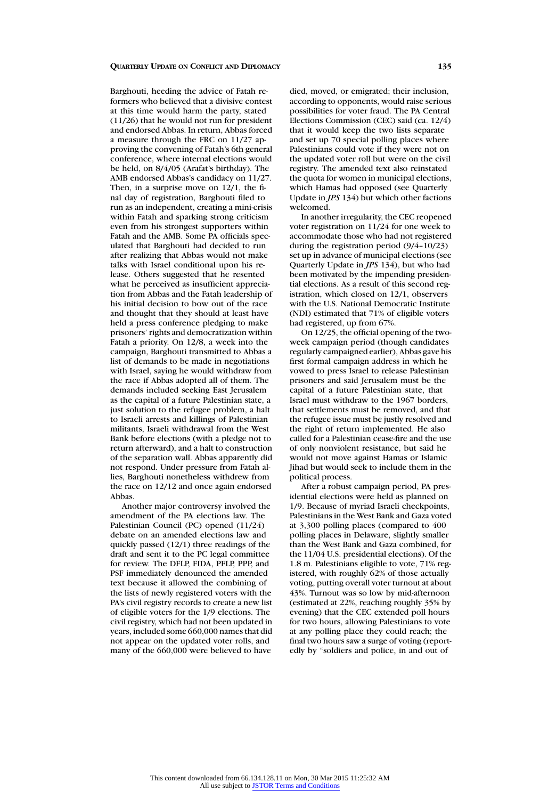Barghouti, heeding the advice of Fatah reformers who believed that a divisive contest at this time would harm the party, stated (11/26) that he would not run for president and endorsed Abbas. In return, Abbas forced a measure through the FRC on 11/27 approving the convening of Fatah's 6th general conference, where internal elections would be held, on 8/4/05 (Arafat's birthday). The AMB endorsed Abbas's candidacy on 11/27. Then, in a surprise move on 12/1, the final day of registration, Barghouti filed to run as an independent, creating a mini-crisis within Fatah and sparking strong criticism even from his strongest supporters within Fatah and the AMB. Some PA officials speculated that Barghouti had decided to run after realizing that Abbas would not make talks with Israel conditional upon his release. Others suggested that he resented what he perceived as insufficient appreciation from Abbas and the Fatah leadership of his initial decision to bow out of the race and thought that they should at least have held a press conference pledging to make prisoners' rights and democratization within Fatah a priority. On 12/8, a week into the campaign, Barghouti transmitted to Abbas a list of demands to be made in negotiations with Israel, saying he would withdraw from the race if Abbas adopted all of them. The demands included seeking East Jerusalem as the capital of a future Palestinian state, a just solution to the refugee problem, a halt to Israeli arrests and killings of Palestinian militants, Israeli withdrawal from the West Bank before elections (with a pledge not to return afterward), and a halt to construction of the separation wall. Abbas apparently did not respond. Under pressure from Fatah allies, Barghouti nonetheless withdrew from the race on 12/12 and once again endorsed Abbas.

Another major controversy involved the amendment of the PA elections law. The Palestinian Council (PC) opened (11/24) debate on an amended elections law and quickly passed (12/1) three readings of the draft and sent it to the PC legal committee for review. The DFLP, FIDA, PFLP, PPP, and PSF immediately denounced the amended text because it allowed the combining of the lists of newly registered voters with the PA's civil registry records to create a new list of eligible voters for the 1/9 elections. The civil registry, which had not been updated in years, included some 660,000 names that did not appear on the updated voter rolls, and many of the 660,000 were believed to have

died, moved, or emigrated; their inclusion, according to opponents, would raise serious possibilities for voter fraud. The PA Central Elections Commission (CEC) said (ca. 12/4) that it would keep the two lists separate and set up 70 special polling places where Palestinians could vote if they were not on the updated voter roll but were on the civil registry. The amended text also reinstated the quota for women in municipal elections, which Hamas had opposed (see Quarterly Update in *JPS* 134) but which other factions welcomed.

In another irregularity, the CEC reopened voter registration on 11/24 for one week to accommodate those who had not registered during the registration period (9/4–10/23) set up in advance of municipal elections (see Quarterly Update in *JPS* 134), but who had been motivated by the impending presidential elections. As a result of this second registration, which closed on 12/1, observers with the U.S. National Democratic Institute (NDI) estimated that 71% of eligible voters had registered, up from 67%.

On 12/25, the official opening of the twoweek campaign period (though candidates regularly campaigned earlier), Abbas gave his first formal campaign address in which he vowed to press Israel to release Palestinian prisoners and said Jerusalem must be the capital of a future Palestinian state, that Israel must withdraw to the 1967 borders, that settlements must be removed, and that the refugee issue must be justly resolved and the right of return implemented. He also called for a Palestinian cease-fire and the use of only nonviolent resistance, but said he would not move against Hamas or Islamic Jihad but would seek to include them in the political process.

After a robust campaign period, PA presidential elections were held as planned on 1/9. Because of myriad Israeli checkpoints, Palestinians in the West Bank and Gaza voted at 3,300 polling places (compared to 400 polling places in Delaware, slightly smaller than the West Bank and Gaza combined, for the 11/04 U.S. presidential elections). Of the 1.8 m. Palestinians eligible to vote, 71% registered, with roughly 62% of those actually voting, putting overall voter turnout at about 43%. Turnout was so low by mid-afternoon (estimated at 22%, reaching roughly 35% by evening) that the CEC extended poll hours for two hours, allowing Palestinians to vote at any polling place they could reach; the final two hours saw a surge of voting (reportedly by "soldiers and police, in and out of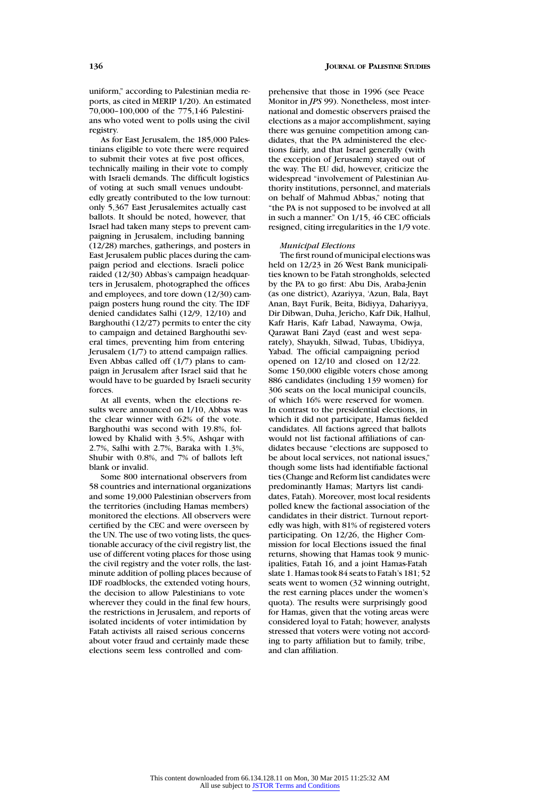uniform," according to Palestinian media reports, as cited in MERIP 1/20). An estimated 70,000–100,000 of the 775,146 Palestinians who voted went to polls using the civil registry.

As for East Jerusalem, the 185,000 Palestinians eligible to vote there were required to submit their votes at five post offices, technically mailing in their vote to comply with Israeli demands. The difficult logistics of voting at such small venues undoubtedly greatly contributed to the low turnout: only 5,367 East Jerusalemites actually cast ballots. It should be noted, however, that Israel had taken many steps to prevent campaigning in Jerusalem, including banning (12/28) marches, gatherings, and posters in East Jerusalem public places during the campaign period and elections. Israeli police raided (12/30) Abbas's campaign headquarters in Jerusalem, photographed the offices and employees, and tore down (12/30) campaign posters hung round the city. The IDF denied candidates Salhi (12/9, 12/10) and Barghouthi (12/27) permits to enter the city to campaign and detained Barghouthi several times, preventing him from entering Jerusalem (1/7) to attend campaign rallies. Even Abbas called off (1/7) plans to campaign in Jerusalem after Israel said that he would have to be guarded by Israeli security forces.

At all events, when the elections results were announced on 1/10, Abbas was the clear winner with 62% of the vote. Barghouthi was second with 19.8%, followed by Khalid with 3.5%, Ashqar with 2.7%, Salhi with 2.7%, Baraka with 1.3%, Shubir with 0.8%, and 7% of ballots left blank or invalid.

Some 800 international observers from 58 countries and international organizations and some 19,000 Palestinian observers from the territories (including Hamas members) monitored the elections. All observers were certified by the CEC and were overseen by the UN. The use of two voting lists, the questionable accuracy of the civil registry list, the use of different voting places for those using the civil registry and the voter rolls, the lastminute addition of polling places because of IDF roadblocks, the extended voting hours, the decision to allow Palestinians to vote wherever they could in the final few hours. the restrictions in Jerusalem, and reports of isolated incidents of voter intimidation by Fatah activists all raised serious concerns about voter fraud and certainly made these elections seem less controlled and comprehensive that those in 1996 (see Peace Monitor in *JPS* 99). Nonetheless, most international and domestic observers praised the elections as a major accomplishment, saying there was genuine competition among candidates, that the PA administered the elections fairly, and that Israel generally (with the exception of Jerusalem) stayed out of the way. The EU did, however, criticize the widespread "involvement of Palestinian Authority institutions, personnel, and materials on behalf of Mahmud Abbas," noting that "the PA is not supposed to be involved at all in such a manner." On 1/15, 46 CEC officials resigned, citing irregularities in the 1/9 vote.

#### *Municipal Elections*

The first round of municipal elections was held on 12/23 in 26 West Bank municipalities known to be Fatah strongholds, selected by the PA to go first: Abu Dis, Araba-Jenin (as one district), Azariyya, 'Azun, Bala, Bayt Anan, Bayt Furik, Beita, Bidiyya, Dahariyya, Dir Dibwan, Duha, Jericho, Kafr Dik, Halhul, Kafr Haris, Kafr Labad, Nawayma, Owja, Qarawat Bani Zayd (east and west separately), Shayukh, Silwad, Tubas, Ubidiyya, Yabad. The official campaigning period opened on 12/10 and closed on 12/22. Some 150,000 eligible voters chose among 886 candidates (including 139 women) for 306 seats on the local municipal councils, of which 16% were reserved for women. In contrast to the presidential elections, in which it did not participate, Hamas fielded candidates. All factions agreed that ballots would not list factional affiliations of candidates because "elections are supposed to be about local services, not national issues," though some lists had identifiable factional ties (Change and Reform list candidates were predominantly Hamas; Martyrs list candidates, Fatah). Moreover, most local residents polled knew the factional association of the candidates in their district. Turnout reportedly was high, with 81% of registered voters participating. On 12/26, the Higher Commission for local Elections issued the final returns, showing that Hamas took 9 municipalities, Fatah 16, and a joint Hamas-Fatah slate 1. Hamas took 84 seats to Fatah's 181; 52 seats went to women (32 winning outright, the rest earning places under the women's quota). The results were surprisingly good for Hamas, given that the voting areas were considered loyal to Fatah; however, analysts stressed that voters were voting not according to party affiliation but to family, tribe, and clan affiliation.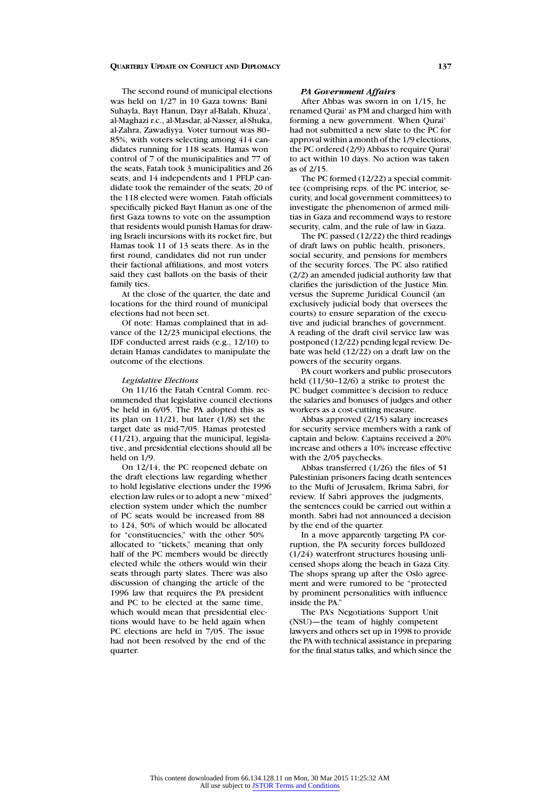The second round of municipal elections was held on 1/27 in 10 Gaza towns: Bani Suhayla, Bayt Hanun, Dayr al-Balah, Khuza', al-Maghazi r.c., al-Masdar, al-Nasser, al-Shuka, al-Zahra, Zawadiyya. Voter turnout was 80– 85%, with voters selecting among 414 candidates running for 118 seats. Hamas won control of 7 of the municipalities and 77 of the seats, Fatah took 3 municipalities and 26 seats, and 14 independents and 1 PFLP candidate took the remainder of the seats; 20 of the 118 elected were women. Fatah officials specifically picked Bayt Hanun as one of the first Gaza towns to vote on the assumption that residents would punish Hamas for drawing Israeli incursions with its rocket fire, but Hamas took 11 of 13 seats there. As in the first round, candidates did not run under their factional affiliations, and most voters said they cast ballots on the basis of their family ties.

At the close of the quarter, the date and locations for the third round of municipal elections had not been set.

Of note: Hamas complained that in advance of the 12/23 municipal elections, the IDF conducted arrest raids (e.g., 12/10) to detain Hamas candidates to manipulate the outcome of the elections.

### *Legislative Elections*

On 11/16 the Fatah Central Comm. recommended that legislative council elections be held in 6/05. The PA adopted this as its plan on 11/21, but later (1/8) set the target date as mid-7/05. Hamas protested (11/21), arguing that the municipal, legislative, and presidential elections should all be held on 1/9.

On 12/14, the PC reopened debate on the draft elections law regarding whether to hold legislative elections under the 1996 election law rules or to adopt a new "mixed" election system under which the number of PC seats would be increased from 88 to 124, 50% of which would be allocated for "constituencies," with the other 50% allocated to "tickets," meaning that only half of the PC members would be directly elected while the others would win their seats through party slates. There was also discussion of changing the article of the 1996 law that requires the PA president and PC to be elected at the same time, which would mean that presidential elections would have to be held again when PC elections are held in 7/05. The issue had not been resolved by the end of the quarter.

# *PA Government Affairs*

After Abbas was sworn in on 1/15, he renamed Qurai' as PM and charged him with forming a new government. When Qurai' had not submitted a new slate to the PC for approval within a month of the 1/9 elections, the PC ordered (2/9) Abbas to require Qurai' to act within 10 days. No action was taken as of 2/15.

The PC formed (12/22) a special committee (comprising reps. of the PC interior, security, and local government committees) to investigate the phenomenon of armed militias in Gaza and recommend ways to restore security, calm, and the rule of law in Gaza.

The PC passed (12/22) the third readings of draft laws on public health, prisoners, social security, and pensions for members of the security forces. The PC also ratified (2/2) an amended judicial authority law that clarifies the jurisdiction of the Justice Min. versus the Supreme Juridical Council (an exclusively judicial body that oversees the courts) to ensure separation of the executive and judicial branches of government. A reading of the draft civil service law was postponed (12/22) pending legal review. Debate was held (12/22) on a draft law on the powers of the security organs.

PA court workers and public prosecutors held (11/30–12/6) a strike to protest the PC budget committee's decision to reduce the salaries and bonuses of judges and other workers as a cost-cutting measure.

Abbas approved (2/15) salary increases for security service members with a rank of captain and below. Captains received a 20% increase and others a 10% increase effective with the 2/05 paychecks.

Abbas transferred (1/26) the files of 51 Palestinian prisoners facing death sentences to the Mufti of Jerusalem, Ikrima Sabri, for review. If Sabri approves the judgments, the sentences could be carried out within a month. Sabri had not announced a decision by the end of the quarter.

In a move apparently targeting PA corruption, the PA security forces bulldozed (1/24) waterfront structures housing unlicensed shops along the beach in Gaza City. The shops sprang up after the Oslo agreement and were rumored to be "protected by prominent personalities with influence inside the PA?

The PA's Negotiations Support Unit (NSU)—the team of highly competent lawyers and others set up in 1998 to provide the PA with technical assistance in preparing for the final status talks, and which since the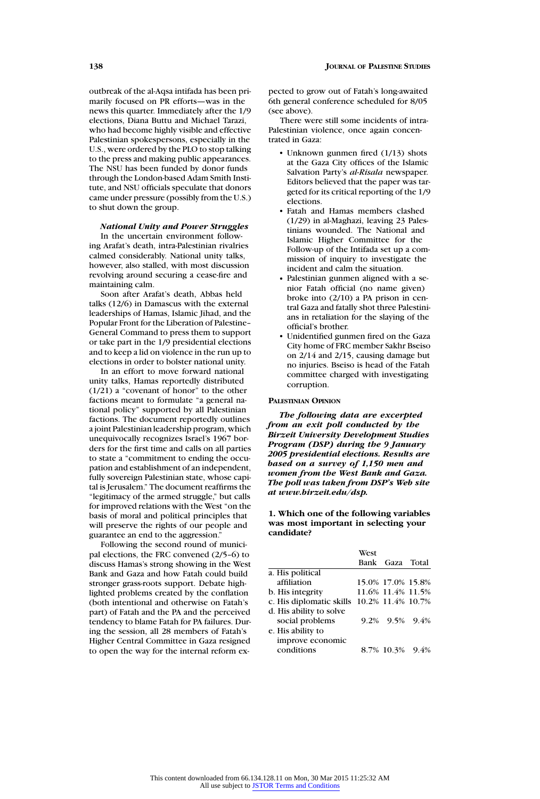outbreak of the al-Aqsa intifada has been primarily focused on PR efforts—was in the news this quarter. Immediately after the 1/9 elections, Diana Buttu and Michael Tarazi, who had become highly visible and effective Palestinian spokespersons, especially in the U.S., were ordered by the PLO to stop talking to the press and making public appearances. The NSU has been funded by donor funds through the London-based Adam Smith Institute, and NSU officials speculate that donors came under pressure (possibly from the U.S.) to shut down the group.

# *National Unity and Power Struggles*

In the uncertain environment following Arafat's death, intra-Palestinian rivalries calmed considerably. National unity talks, however, also stalled, with most discussion revolving around securing a cease-fire and maintaining calm.

Soon after Arafat's death, Abbas held talks (12/6) in Damascus with the external leaderships of Hamas, Islamic Jihad, and the Popular Front for the Liberation of Palestine– General Command to press them to support or take part in the 1/9 presidential elections and to keep a lid on violence in the run up to elections in order to bolster national unity.

In an effort to move forward national unity talks, Hamas reportedly distributed (1/21) a "covenant of honor" to the other factions meant to formulate "a general national policy" supported by all Palestinian factions. The document reportedly outlines a joint Palestinian leadership program, which unequivocally recognizes Israel's 1967 borders for the first time and calls on all parties to state a "commitment to ending the occupation and establishment of an independent, fully sovereign Palestinian state, whose capital is Jerusalem." The document reaffirms the "legitimacy of the armed struggle," but calls for improved relations with the West "on the basis of moral and political principles that will preserve the rights of our people and guarantee an end to the aggression."

Following the second round of municipal elections, the FRC convened (2/5–6) to discuss Hamas's strong showing in the West Bank and Gaza and how Fatah could build stronger grass-roots support. Debate highlighted problems created by the conflation (both intentional and otherwise on Fatah's part) of Fatah and the PA and the perceived tendency to blame Fatah for PA failures. During the session, all 28 members of Fatah's Higher Central Committee in Gaza resigned to open the way for the internal reform expected to grow out of Fatah's long-awaited 6th general conference scheduled for 8/05 (see above).

There were still some incidents of intra-Palestinian violence, once again concentrated in Gaza:

- Unknown gunmen fired (1/13) shots at the Gaza City offices of the Islamic Salvation Party's *al-Risala* newspaper. Editors believed that the paper was targeted for its critical reporting of the 1/9 elections.
- Fatah and Hamas members clashed (1/29) in al-Maghazi, leaving 23 Palestinians wounded. The National and Islamic Higher Committee for the Follow-up of the Intifada set up a commission of inquiry to investigate the incident and calm the situation.
- Palestinian gunmen aligned with a senior Fatah official (no name given) broke into (2/10) a PA prison in central Gaza and fatally shot three Palestinians in retaliation for the slaying of the official's brother.
- Unidentified gunmen fired on the Gaza City home of FRC member Sakhr Bseiso on 2/14 and 2/15, causing damage but no injuries. Bseiso is head of the Fatah committee charged with investigating corruption.

#### **PALESTINIAN OPINION**

*The following data are excerpted from an exit poll conducted by the Birzeit University Development Studies Program (DSP) during the 9 January 2005 presidential elections. Results are based on a survey of 1,150 men and women from the West Bank and Gaza. The poll was taken from DSP's Web site at www.birzeit.edu/dsp.*

**1. Which one of the following variables was most important in selecting your candidate?**

|                                            | West |                   |  |
|--------------------------------------------|------|-------------------|--|
|                                            |      | Bank Gaza Total   |  |
| a. His political                           |      |                   |  |
| affiliation                                |      | 15.0% 17.0% 15.8% |  |
| b. His integrity                           |      | 11.6% 11.4% 11.5% |  |
| c. His diplomatic skills 10.2% 11.4% 10.7% |      |                   |  |
| d. His ability to solve                    |      |                   |  |
| social problems                            |      | 9.2% 9.5% 9.4%    |  |
| e. His ability to                          |      |                   |  |
| improve economic                           |      |                   |  |
| conditions                                 |      | 8.7% 10.3% 9.4%   |  |
|                                            |      |                   |  |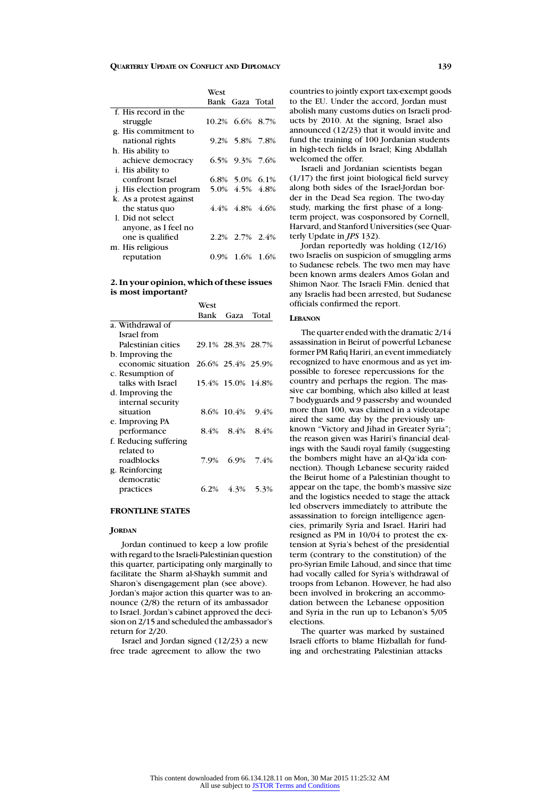|                                | West            |                         |  |
|--------------------------------|-----------------|-------------------------|--|
|                                |                 | Bank Gaza Total         |  |
| f. His record in the           |                 |                         |  |
| struggle                       | 10.2% 6.6% 8.7% |                         |  |
| g. His commitment to           |                 |                         |  |
| national rights                |                 | 9.2% 5.8% 7.8%          |  |
| h. His ability to              |                 |                         |  |
| achieve democracy              |                 | 6.5% 9.3% 7.6%          |  |
| <i>i</i> . His ability to      |                 |                         |  |
| confront Israel                |                 | $6.8\%$ 5.0% 6.1%       |  |
| <i>i.</i> His election program |                 | 5.0% 4.5% 4.8%          |  |
| k. As a protest against        |                 |                         |  |
| the status quo                 |                 | $4.4\%$ $4.8\%$ $4.6\%$ |  |
| 1. Did not select              |                 |                         |  |
| anyone, as I feel no           |                 |                         |  |
| one is qualified               |                 | 2.2\% 2.7\% 2.4\%       |  |
| m. His religious               |                 |                         |  |
| reputation                     |                 | 0.9% 1.6% 1.6%          |  |
|                                |                 |                         |  |

# **2. In your opinion, which of these issues is most important?**

|                       | West |                   |           |
|-----------------------|------|-------------------|-----------|
|                       | Bank | Gaza              | Total     |
| a. Withdrawal of      |      |                   |           |
| Israel from           |      |                   |           |
| Palestinian cities    |      | 29.1% 28.3% 28.7% |           |
| b. Improving the      |      |                   |           |
| economic situation    |      | 26.6% 25.4% 25.9% |           |
| c. Resumption of      |      |                   |           |
| talks with Israel     |      | 15.4% 15.0% 14.8% |           |
| d. Improving the      |      |                   |           |
| internal security     |      |                   |           |
| situation             |      | 8.6% 10.4%        | 9.4%      |
| e. Improving PA       |      |                   |           |
| performance           |      | 8.4% 8.4%         | 8.4%      |
| f. Reducing suffering |      |                   |           |
| related to            |      |                   |           |
| roadblocks            | 7.9% |                   | 6.9% 7.4% |
| g. Reinforcing        |      |                   |           |
| democratic            |      |                   |           |
| practices             |      | 6.2% 4.3% 5.3%    |           |

# **FRONTLINE STATES**

#### **JORDAN**

Jordan continued to keep a low profile with regard to the Israeli-Palestinian question this quarter, participating only marginally to facilitate the Sharm al-Shaykh summit and Sharon's disengagement plan (see above). Jordan's major action this quarter was to announce (2/8) the return of its ambassador to Israel. Jordan's cabinet approved the decision on 2/15 and scheduled the ambassador's return for 2/20.

Israel and Jordan signed (12/23) a new free trade agreement to allow the two

countries to jointly export tax-exempt goods to the EU. Under the accord, Jordan must abolish many customs duties on Israeli products by 2010. At the signing, Israel also announced (12/23) that it would invite and fund the training of 100 Jordanian students in high-tech fields in Israel; King Abdallah welcomed the offer.

Israeli and Jordanian scientists began (1/17) the first joint biological field survey along both sides of the Israel-Jordan border in the Dead Sea region. The two-day study, marking the first phase of a longterm project, was cosponsored by Cornell, Harvard, and Stanford Universities (see Quarterly Update in *JPS* 132).

Jordan reportedly was holding (12/16) two Israelis on suspicion of smuggling arms to Sudanese rebels. The two men may have been known arms dealers Amos Golan and Shimon Naor. The Israeli FMin. denied that any Israelis had been arrested, but Sudanese officials confirmed the report.

### **LEBANON**

The quarter ended with the dramatic 2/14 assassination in Beirut of powerful Lebanese former PM Rafiq Hariri, an event immediately recognized to have enormous and as yet impossible to foresee repercussions for the country and perhaps the region. The massive car bombing, which also killed at least 7 bodyguards and 9 passersby and wounded more than 100, was claimed in a videotape aired the same day by the previously unknown "Victory and Jihad in Greater Syria": the reason given was Hariri's financial dealings with the Saudi royal family (suggesting the bombers might have an al-Qa'ida connection). Though Lebanese security raided the Beirut home of a Palestinian thought to appear on the tape, the bomb's massive size and the logistics needed to stage the attack led observers immediately to attribute the assassination to foreign intelligence agencies, primarily Syria and Israel. Hariri had resigned as PM in 10/04 to protest the extension at Syria's behest of the presidential term (contrary to the constitution) of the pro-Syrian Emile Lahoud, and since that time had vocally called for Syria's withdrawal of troops from Lebanon. However, he had also been involved in brokering an accommodation between the Lebanese opposition and Syria in the run up to Lebanon's 5/05 elections.

The quarter was marked by sustained Israeli efforts to blame Hizballah for funding and orchestrating Palestinian attacks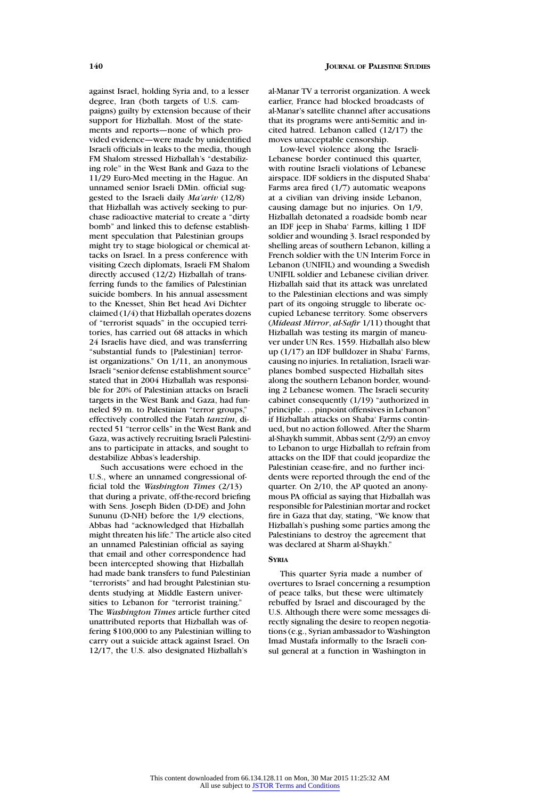against Israel, holding Syria and, to a lesser degree, Iran (both targets of U.S. campaigns) guilty by extension because of their support for Hizballah. Most of the statements and reports—none of which provided evidence—were made by unidentified Israeli officials in leaks to the media, though FM Shalom stressed Hizballah's "destabilizing role" in the West Bank and Gaza to the 11/29 Euro-Med meeting in the Hague. An unnamed senior Israeli DMin. official suggested to the Israeli daily *Ma'ariv* (12/8) that Hizballah was actively seeking to purchase radioactive material to create a "dirty bomb" and linked this to defense establishment speculation that Palestinian groups might try to stage biological or chemical attacks on Israel. In a press conference with visiting Czech diplomats, Israeli FM Shalom directly accused (12/2) Hizballah of transferring funds to the families of Palestinian suicide bombers. In his annual assessment to the Knesset, Shin Bet head Avi Dichter claimed (1/4) that Hizballah operates dozens of "terrorist squads" in the occupied territories, has carried out 68 attacks in which 24 Israelis have died, and was transferring "substantial funds to [Palestinian] terrorist organizations." On 1/11, an anonymous Israeli "senior defense establishment source" stated that in 2004 Hizballah was responsible for 20% of Palestinian attacks on Israeli targets in the West Bank and Gaza, had funneled \$9 m. to Palestinian "terror groups," effectively controlled the Fatah *tanzim*, directed 51 "terror cells" in the West Bank and Gaza, was actively recruiting Israeli Palestinians to participate in attacks, and sought to destabilize Abbas's leadership.

Such accusations were echoed in the U.S., where an unnamed congressional official told the *Washington Times* (2/13) that during a private, off-the-record briefing with Sens. Joseph Biden (D-DE) and John Sununu (D-NH) before the 1/9 elections, Abbas had "acknowledged that Hizballah might threaten his life." The article also cited an unnamed Palestinian official as saying that email and other correspondence had been intercepted showing that Hizballah had made bank transfers to fund Palestinian "terrorists" and had brought Palestinian students studying at Middle Eastern universities to Lebanon for "terrorist training." The *Washington Times* article further cited unattributed reports that Hizballah was offering \$100,000 to any Palestinian willing to carry out a suicide attack against Israel. On 12/17, the U.S. also designated Hizballah's

al-Manar TV a terrorist organization. A week earlier, France had blocked broadcasts of al-Manar's satellite channel after accusations that its programs were anti-Semitic and incited hatred. Lebanon called (12/17) the moves unacceptable censorship.

Low-level violence along the Israeli-Lebanese border continued this quarter, with routine Israeli violations of Lebanese airspace. IDF soldiers in the disputed Shaba' Farms area fired (1/7) automatic weapons at a civilian van driving inside Lebanon, causing damage but no injuries. On 1/9, Hizballah detonated a roadside bomb near an IDF jeep in Shaba' Farms, killing 1 IDF soldier and wounding 3. Israel responded by shelling areas of southern Lebanon, killing a French soldier with the UN Interim Force in Lebanon (UNIFIL) and wounding a Swedish UNIFIL soldier and Lebanese civilian driver. Hizballah said that its attack was unrelated to the Palestinian elections and was simply part of its ongoing struggle to liberate occupied Lebanese territory. Some observers (*Mideast Mirror*, *al-Safir* 1/11) thought that Hizballah was testing its margin of maneuver under UN Res. 1559. Hizballah also blew up (1/17) an IDF bulldozer in Shaba' Farms, causing no injuries. In retaliation, Israeli warplanes bombed suspected Hizballah sites along the southern Lebanon border, wounding 2 Lebanese women. The Israeli security cabinet consequently (1/19) "authorized in principle ... pinpoint offensives in Lebanon" if Hizballah attacks on Shaba' Farms continued, but no action followed. After the Sharm al-Shaykh summit, Abbas sent (2/9) an envoy to Lebanon to urge Hizballah to refrain from attacks on the IDF that could jeopardize the Palestinian cease-fire, and no further incidents were reported through the end of the quarter. On 2/10, the AP quoted an anonymous PA official as saying that Hizballah was responsible for Palestinian mortar and rocket fire in Gaza that day, stating, "We know that Hizballah's pushing some parties among the Palestinians to destroy the agreement that was declared at Sharm al-Shaykh."

# **SYRIA**

This quarter Syria made a number of overtures to Israel concerning a resumption of peace talks, but these were ultimately rebuffed by Israel and discouraged by the U.S. Although there were some messages directly signaling the desire to reopen negotiations (e.g., Syrian ambassador to Washington Imad Mustafa informally to the Israeli consul general at a function in Washington in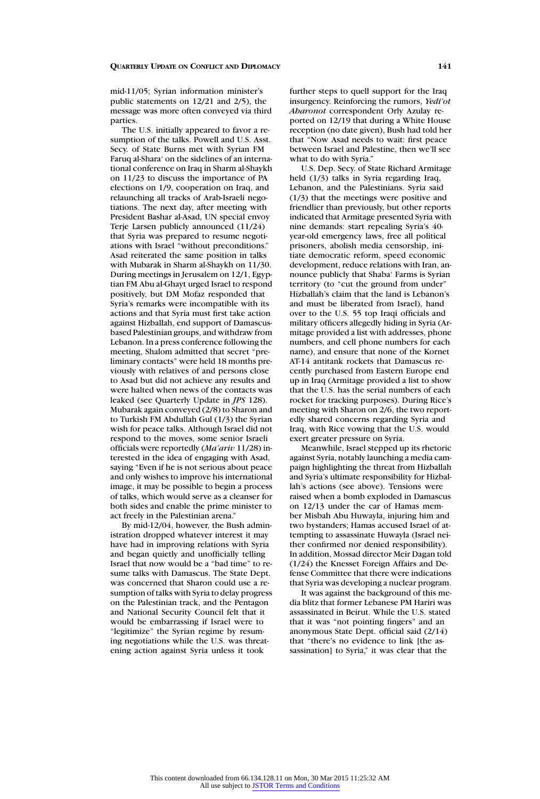mid-11/05; Syrian information minister's public statements on 12/21 and 2/5), the message was more often conveyed via third parties.

The U.S. initially appeared to favor a resumption of the talks. Powell and U.S. Asst. Secy. of State Burns met with Syrian FM Faruq al-Shara' on the sidelines of an international conference on Iraq in Sharm al-Shaykh on 11/23 to discuss the importance of PA elections on 1/9, cooperation on Iraq, and relaunching all tracks of Arab-Israeli negotiations. The next day, after meeting with President Bashar al-Asad, UN special envoy Terje Larsen publicly announced (11/24) that Syria was prepared to resume negotiations with Israel "without preconditions." Asad reiterated the same position in talks with Mubarak in Sharm al-Shaykh on 11/30. During meetings in Jerusalem on 12/1, Egyptian FM Abu al-Ghayt urged Israel to respond positively, but DM Mofaz responded that Syria's remarks were incompatible with its actions and that Syria must first take action against Hizballah, end support of Damascusbased Palestinian groups, and withdraw from Lebanon. In a press conference following the meeting, Shalom admitted that secret "preliminary contacts" were held 18 months previously with relatives of and persons close to Asad but did not achieve any results and were halted when news of the contacts was leaked (see Quarterly Update in *JPS* 128). Mubarak again conveyed (2/8) to Sharon and to Turkish FM Abdullah Gul (1/3) the Syrian wish for peace talks. Although Israel did not respond to the moves, some senior Israeli officials were reportedly (*Ma'ariv* 11/28) interested in the idea of engaging with Asad, saying "Even if he is not serious about peace and only wishes to improve his international image, it may be possible to begin a process of talks, which would serve as a cleanser for both sides and enable the prime minister to act freely in the Palestinian arena."

By mid-12/04, however, the Bush administration dropped whatever interest it may have had in improving relations with Syria and began quietly and unofficially telling Israel that now would be a "bad time" to resume talks with Damascus. The State Dept. was concerned that Sharon could use a resumption of talks with Syria to delay progress on the Palestinian track, and the Pentagon and National Security Council felt that it would be embarrassing if Israel were to "legitimize" the Syrian regime by resuming negotiations while the U.S. was threatening action against Syria unless it took

further steps to quell support for the Iraq insurgency. Reinforcing the rumors, *Yedi'ot Aharonot* correspondent Orly Azulay reported on 12/19 that during a White House reception (no date given), Bush had told her that "Now Asad needs to wait: first peace between Israel and Palestine, then we'll see what to do with Syria."

U.S. Dep. Secy. of State Richard Armitage held  $(1/3)$  talks in Syria regarding Iraq, Lebanon, and the Palestinians. Syria said (1/3) that the meetings were positive and friendlier than previously, but other reports indicated that Armitage presented Syria with nine demands: start repealing Syria's 40 year-old emergency laws, free all political prisoners, abolish media censorship, initiate democratic reform, speed economic development, reduce relations with Iran, announce publicly that Shaba' Farms is Syrian territory (to "cut the ground from under" Hizballah's claim that the land is Lebanon's and must be liberated from Israel), hand over to the U.S. 55 top Iraqi officials and military officers allegedly hiding in Syria (Armitage provided a list with addresses, phone numbers, and cell phone numbers for each name), and ensure that none of the Kornet AT-14 antitank rockets that Damascus recently purchased from Eastern Europe end up in Iraq (Armitage provided a list to show that the U.S. has the serial numbers of each rocket for tracking purposes). During Rice's meeting with Sharon on 2/6, the two reportedly shared concerns regarding Syria and Iraq, with Rice vowing that the U.S. would exert greater pressure on Syria.

Meanwhile, Israel stepped up its rhetoric against Syria, notably launching a media campaign highlighting the threat from Hizballah and Syria's ultimate responsibility for Hizballah's actions (see above). Tensions were raised when a bomb exploded in Damascus on 12/13 under the car of Hamas member Misbah Abu Huwayla, injuring him and two bystanders; Hamas accused Israel of attempting to assassinate Huwayla (Israel neither confirmed nor denied responsibility). In addition, Mossad director Meir Dagan told (1/24) the Knesset Foreign Affairs and Defense Committee that there were indications that Syria was developing a nuclear program.

It was against the background of this media blitz that former Lebanese PM Hariri was assassinated in Beirut. While the U.S. stated that it was "not pointing fingers" and an anonymous State Dept. official said (2/14) that "there's no evidence to link [the assassination] to Syria," it was clear that the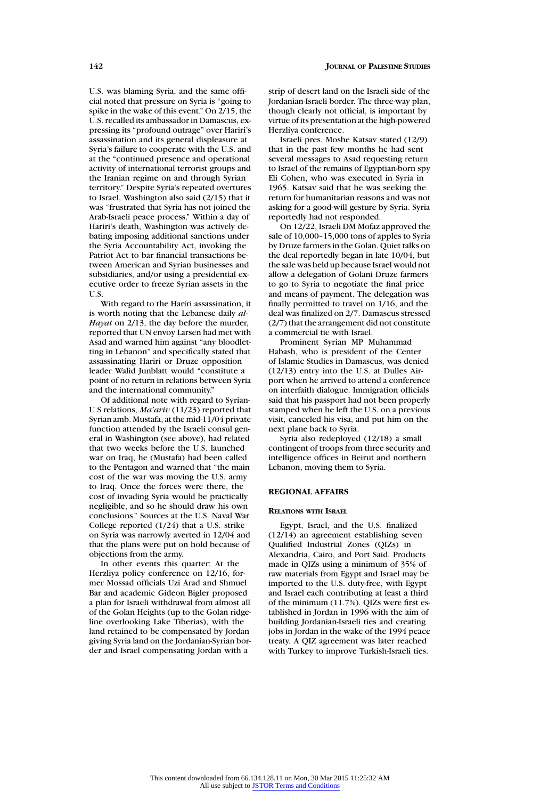U.S. was blaming Syria, and the same official noted that pressure on Syria is "going to spike in the wake of this event." On 2/15, the U.S. recalled its ambassador in Damascus, expressing its "profound outrage" over Hariri's assassination and its general displeasure at Syria's failure to cooperate with the U.S. and at the "continued presence and operational activity of international terrorist groups and the Iranian regime on and through Syrian territory." Despite Syria's repeated overtures to Israel, Washington also said (2/15) that it was "frustrated that Syria has not joined the Arab-Israeli peace process." Within a day of Hariri's death, Washington was actively debating imposing additional sanctions under the Syria Accountability Act, invoking the Patriot Act to bar financial transactions between American and Syrian businesses and subsidiaries, and/or using a presidential executive order to freeze Syrian assets in the U.S.

With regard to the Hariri assassination, it is worth noting that the Lebanese daily *al-Hayat* on 2/13, the day before the murder, reported that UN envoy Larsen had met with Asad and warned him against "any bloodletting in Lebanon" and specifically stated that assassinating Hariri or Druze opposition leader Walid Junblatt would "constitute a point of no return in relations between Syria and the international community."

Of additional note with regard to Syrian-U.S relations, *Ma'ariv* (11/23) reported that Syrian amb. Mustafa, at the mid-11/04 private function attended by the Israeli consul general in Washington (see above), had related that two weeks before the U.S. launched war on Iraq, he (Mustafa) had been called to the Pentagon and warned that "the main cost of the war was moving the U.S. army to Iraq. Once the forces were there, the cost of invading Syria would be practically negligible, and so he should draw his own conclusions." Sources at the U.S. Naval War College reported (1/24) that a U.S. strike on Syria was narrowly averted in 12/04 and that the plans were put on hold because of objections from the army.

In other events this quarter: At the Herzliya policy conference on 12/16, former Mossad officials Uzi Arad and Shmuel Bar and academic Gideon Bigler proposed a plan for Israeli withdrawal from almost all of the Golan Heights (up to the Golan ridgeline overlooking Lake Tiberias), with the land retained to be compensated by Jordan giving Syria land on the Jordanian-Syrian border and Israel compensating Jordan with a

strip of desert land on the Israeli side of the Jordanian-Israeli border. The three-way plan, though clearly not official, is important by virtue of its presentation at the high-powered Herzliya conference.

Israeli pres. Moshe Katsav stated (12/9) that in the past few months he had sent several messages to Asad requesting return to Israel of the remains of Egyptian-born spy Eli Cohen, who was executed in Syria in 1965. Katsav said that he was seeking the return for humanitarian reasons and was not asking for a good-will gesture by Syria. Syria reportedly had not responded.

On 12/22, Israeli DM Mofaz approved the sale of 10,000–15,000 tons of apples to Syria by Druze farmers in the Golan. Quiet talks on the deal reportedly began in late 10/04, but the sale was held up because Israel would not allow a delegation of Golani Druze farmers to go to Syria to negotiate the final price and means of payment. The delegation was finally permitted to travel on 1/16, and the deal was finalized on 2/7. Damascus stressed (2/7) that the arrangement did not constitute a commercial tie with Israel.

Prominent Syrian MP Muhammad Habash, who is president of the Center of Islamic Studies in Damascus, was denied (12/13) entry into the U.S. at Dulles Airport when he arrived to attend a conference on interfaith dialogue. Immigration officials said that his passport had not been properly stamped when he left the U.S. on a previous visit, canceled his visa, and put him on the next plane back to Syria.

Syria also redeployed (12/18) a small contingent of troops from three security and intelligence offices in Beirut and northern Lebanon, moving them to Syria.

#### **REGIONAL AFFAIRS**

#### **RELATIONS WITH ISRAEL**

Egypt, Israel, and the U.S. finalized (12/14) an agreement establishing seven Qualified Industrial Zones (QIZs) in Alexandria, Cairo, and Port Said. Products made in QIZs using a minimum of 35% of raw materials from Egypt and Israel may be imported to the U.S. duty-free, with Egypt and Israel each contributing at least a third of the minimum (11.7%). QIZs were first established in Jordan in 1996 with the aim of building Jordanian-Israeli ties and creating jobs in Jordan in the wake of the 1994 peace treaty. A QIZ agreement was later reached with Turkey to improve Turkish-Israeli ties.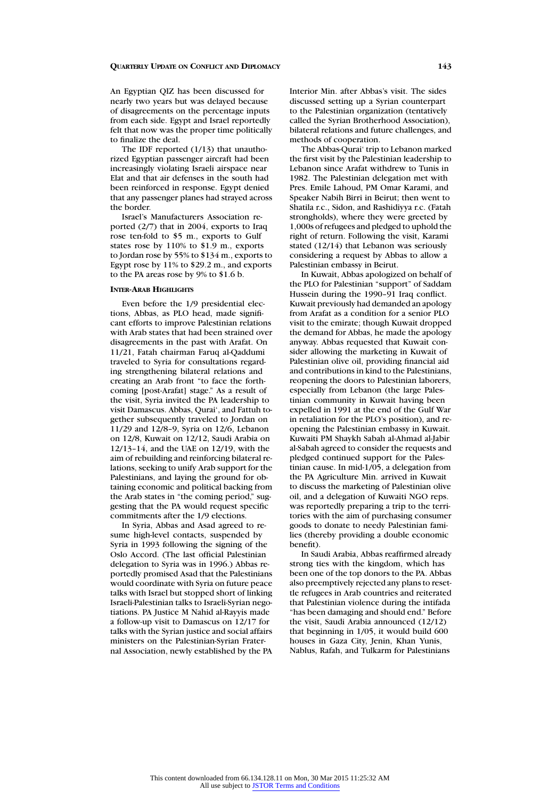An Egyptian QIZ has been discussed for nearly two years but was delayed because of disagreements on the percentage inputs from each side. Egypt and Israel reportedly felt that now was the proper time politically to finalize the deal.

The IDF reported (1/13) that unauthorized Egyptian passenger aircraft had been increasingly violating Israeli airspace near Elat and that air defenses in the south had been reinforced in response. Egypt denied that any passenger planes had strayed across the border.

Israel's Manufacturers Association reported (2/7) that in 2004, exports to Iraq rose ten-fold to \$5 m., exports to Gulf states rose by 110% to \$1.9 m., exports to Jordan rose by 55% to \$134 m., exports to Egypt rose by 11% to \$29.2 m., and exports to the PA areas rose by 9% to \$1.6 b.

# **INTER-ARAB HIGHLIGHTS**

Even before the 1/9 presidential elections, Abbas, as PLO head, made significant efforts to improve Palestinian relations with Arab states that had been strained over disagreements in the past with Arafat. On 11/21, Fatah chairman Faruq al-Qaddumi traveled to Syria for consultations regarding strengthening bilateral relations and creating an Arab front "to face the forthcoming [post-Arafat] stage." As a result of the visit, Syria invited the PA leadership to visit Damascus. Abbas, Qurai', and Fattuh together subsequently traveled to Jordan on 11/29 and 12/8–9, Syria on 12/6, Lebanon on 12/8, Kuwait on 12/12, Saudi Arabia on 12/13–14, and the UAE on 12/19, with the aim of rebuilding and reinforcing bilateral relations, seeking to unify Arab support for the Palestinians, and laying the ground for obtaining economic and political backing from the Arab states in "the coming period," suggesting that the PA would request specific commitments after the 1/9 elections.

In Syria, Abbas and Asad agreed to resume high-level contacts, suspended by Syria in 1993 following the signing of the Oslo Accord. (The last official Palestinian delegation to Syria was in 1996.) Abbas reportedly promised Asad that the Palestinians would coordinate with Syria on future peace talks with Israel but stopped short of linking Israeli-Palestinian talks to Israeli-Syrian negotiations. PA Justice M Nahid al-Rayyis made a follow-up visit to Damascus on 12/17 for talks with the Syrian justice and social affairs ministers on the Palestinian-Syrian Fraternal Association, newly established by the PA Interior Min. after Abbas's visit. The sides discussed setting up a Syrian counterpart to the Palestinian organization (tentatively called the Syrian Brotherhood Association), bilateral relations and future challenges, and methods of cooperation.

The Abbas-Qurai' trip to Lebanon marked the first visit by the Palestinian leadership to Lebanon since Arafat withdrew to Tunis in 1982. The Palestinian delegation met with Pres. Emile Lahoud, PM Omar Karami, and Speaker Nabih Birri in Beirut; then went to Shatila r.c., Sidon, and Rashidiyya r.c. (Fatah strongholds), where they were greeted by 1,000s of refugees and pledged to uphold the right of return. Following the visit, Karami stated (12/14) that Lebanon was seriously considering a request by Abbas to allow a Palestinian embassy in Beirut.

In Kuwait, Abbas apologized on behalf of the PLO for Palestinian "support" of Saddam Hussein during the 1990–91 Iraq conflict. Kuwait previously had demanded an apology from Arafat as a condition for a senior PLO visit to the emirate; though Kuwait dropped the demand for Abbas, he made the apology anyway. Abbas requested that Kuwait consider allowing the marketing in Kuwait of Palestinian olive oil, providing financial aid and contributions in kind to the Palestinians, reopening the doors to Palestinian laborers, especially from Lebanon (the large Palestinian community in Kuwait having been expelled in 1991 at the end of the Gulf War in retaliation for the PLO's position), and reopening the Palestinian embassy in Kuwait. Kuwaiti PM Shaykh Sabah al-Ahmad al-Jabir al-Sabah agreed to consider the requests and pledged continued support for the Palestinian cause. In mid-1/05, a delegation from the PA Agriculture Min. arrived in Kuwait to discuss the marketing of Palestinian olive oil, and a delegation of Kuwaiti NGO reps. was reportedly preparing a trip to the territories with the aim of purchasing consumer goods to donate to needy Palestinian families (thereby providing a double economic benefit).

In Saudi Arabia, Abbas reaffirmed already strong ties with the kingdom, which has been one of the top donors to the PA. Abbas also preemptively rejected any plans to resettle refugees in Arab countries and reiterated that Palestinian violence during the intifada "has been damaging and should end." Before the visit, Saudi Arabia announced (12/12) that beginning in 1/05, it would build 600 houses in Gaza City, Jenin, Khan Yunis, Nablus, Rafah, and Tulkarm for Palestinians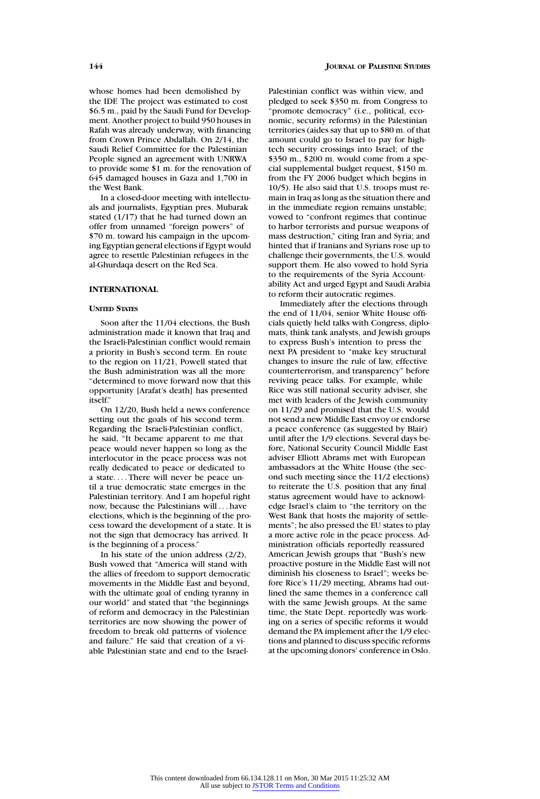whose homes had been demolished by the IDF. The project was estimated to cost \$6.5 m., paid by the Saudi Fund for Development. Another project to build 950 houses in Rafah was already underway, with financing from Crown Prince Abdallah. On 2/14, the Saudi Relief Committee for the Palestinian People signed an agreement with UNRWA to provide some \$1 m. for the renovation of 645 damaged houses in Gaza and 1,700 in the West Bank.

In a closed-door meeting with intellectuals and journalists, Egyptian pres. Mubarak stated  $(1/17)$  that he had turned down an offer from unnamed "foreign powers" of \$70 m. toward his campaign in the upcoming Egyptian general elections if Egypt would agree to resettle Palestinian refugees in the al-Ghurdaqa desert on the Red Sea.

# **INTERNATIONAL**

# **UNITED STATES**

Soon after the 11/04 elections, the Bush administration made it known that Iraq and the Israeli-Palestinian conflict would remain a priority in Bush's second term. En route to the region on 11/21, Powell stated that the Bush administration was all the more "determined to move forward now that this opportunity [Arafat's death] has presented itself."

On 12/20, Bush held a news conference setting out the goals of his second term. Regarding the Israeli-Palestinian conflict, he said, "It became apparent to me that peace would never happen so long as the interlocutor in the peace process was not really dedicated to peace or dedicated to a state.... There will never be peace until a true democratic state emerges in the Palestinian territory. And I am hopeful right now, because the Palestinians will . . . have elections, which is the beginning of the process toward the development of a state. It is not the sign that democracy has arrived. It is the beginning of a process."

In his state of the union address (2/2), Bush vowed that "America will stand with the allies of freedom to support democratic movements in the Middle East and beyond, with the ultimate goal of ending tyranny in our world" and stated that "the beginnings of reform and democracy in the Palestinian territories are now showing the power of freedom to break old patterns of violence and failure." He said that creation of a viable Palestinian state and end to the IsraelPalestinian conflict was within view, and pledged to seek \$350 m. from Congress to "promote democracy" (i.e., political, economic, security reforms) in the Palestinian territories (aides say that up to \$80 m. of that amount could go to Israel to pay for hightech security crossings into Israel; of the \$350 m., \$200 m. would come from a special supplemental budget request, \$150 m. from the FY 2006 budget which begins in 10/5). He also said that U.S. troops must remain in Iraq as long as the situation there and in the immediate region remains unstable; vowed to "confront regimes that continue to harbor terrorists and pursue weapons of mass destruction," citing Iran and Syria; and hinted that if Iranians and Syrians rose up to challenge their governments, the U.S. would support them. He also vowed to hold Syria to the requirements of the Syria Accountability Act and urged Egypt and Saudi Arabia to reform their autocratic regimes.

Immediately after the elections through the end of 11/04, senior White House officials quietly held talks with Congress, diplomats, think tank analysts, and Jewish groups to express Bush's intention to press the next PA president to "make key structural changes to insure the rule of law, effective counterterrorism, and transparency" before reviving peace talks. For example, while Rice was still national security adviser, she met with leaders of the Jewish community on 11/29 and promised that the U.S. would not send a new Middle East envoy or endorse a peace conference (as suggested by Blair) until after the 1/9 elections. Several days before, National Security Council Middle East adviser Elliott Abrams met with European ambassadors at the White House (the second such meeting since the 11/2 elections) to reiterate the U.S. position that any final status agreement would have to acknowledge Israel's claim to "the territory on the West Bank that hosts the majority of settlements"; he also pressed the EU states to play a more active role in the peace process. Administration officials reportedly reassured American Jewish groups that "Bush's new proactive posture in the Middle East will not diminish his closeness to Israel"; weeks before Rice's 11/29 meeting, Abrams had outlined the same themes in a conference call with the same Jewish groups. At the same time, the State Dept. reportedly was working on a series of specific reforms it would demand the PA implement after the 1/9 elections and planned to discuss specific reforms at the upcoming donors' conference in Oslo.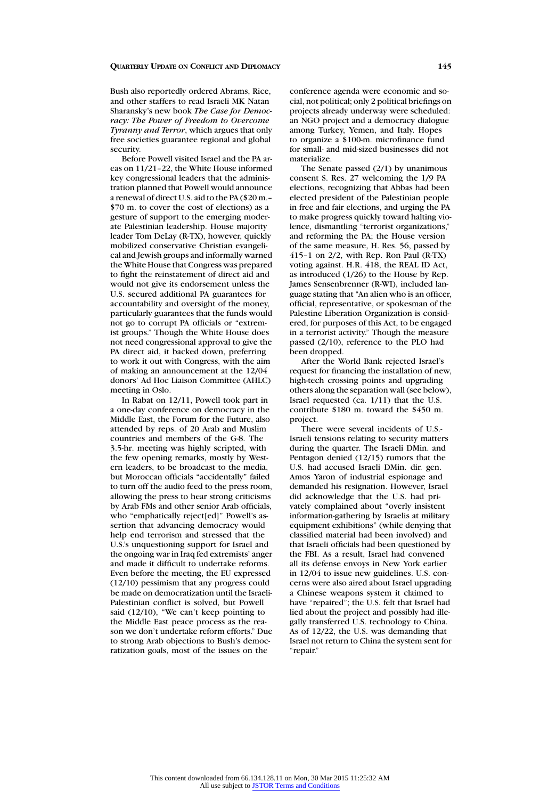Bush also reportedly ordered Abrams, Rice, and other staffers to read Israeli MK Natan Sharansky's new book *The Case for Democracy: The Power of Freedom to Overcome Tyranny and Terror*, which argues that only free societies guarantee regional and global security.

Before Powell visited Israel and the PA areas on 11/21–22, the White House informed key congressional leaders that the administration planned that Powell would announce a renewal of direct U.S. aid to the PA (\$20 m.– \$70 m. to cover the cost of elections) as a gesture of support to the emerging moderate Palestinian leadership. House majority leader Tom DeLay (R-TX), however, quickly mobilized conservative Christian evangelical and Jewish groups and informally warned the White House that Congress was prepared to fight the reinstatement of direct aid and would not give its endorsement unless the U.S. secured additional PA guarantees for accountability and oversight of the money, particularly guarantees that the funds would not go to corrupt PA officials or "extremist groups." Though the White House does not need congressional approval to give the PA direct aid, it backed down, preferring to work it out with Congress, with the aim of making an announcement at the 12/04 donors' Ad Hoc Liaison Committee (AHLC) meeting in Oslo.

In Rabat on 12/11, Powell took part in a one-day conference on democracy in the Middle East, the Forum for the Future, also attended by reps. of 20 Arab and Muslim countries and members of the G-8. The 3.5-hr. meeting was highly scripted, with the few opening remarks, mostly by Western leaders, to be broadcast to the media, but Moroccan officials "accidentally" failed to turn off the audio feed to the press room, allowing the press to hear strong criticisms by Arab FMs and other senior Arab officials, who "emphatically reject[ed]" Powell's assertion that advancing democracy would help end terrorism and stressed that the U.S.'s unquestioning support for Israel and the ongoing war in Iraq fed extremists' anger and made it difficult to undertake reforms. Even before the meeting, the EU expressed (12/10) pessimism that any progress could be made on democratization until the Israeli-Palestinian conflict is solved, but Powell said (12/10), "We can't keep pointing to the Middle East peace process as the reason we don't undertake reform efforts." Due to strong Arab objections to Bush's democratization goals, most of the issues on the

conference agenda were economic and social, not political; only 2 political briefings on projects already underway were scheduled: an NGO project and a democracy dialogue among Turkey, Yemen, and Italy. Hopes to organize a \$100-m. microfinance fund for small- and mid-sized businesses did not materialize.

The Senate passed (2/1) by unanimous consent S. Res. 27 welcoming the 1/9 PA elections, recognizing that Abbas had been elected president of the Palestinian people in free and fair elections, and urging the PA to make progress quickly toward halting violence, dismantling "terrorist organizations," and reforming the PA; the House version of the same measure, H. Res. 56, passed by 415–1 on 2/2, with Rep. Ron Paul (R-TX) voting against. H.R. 418, the REAL ID Act, as introduced (1/26) to the House by Rep. James Sensenbrenner (R-WI), included language stating that "An alien who is an officer, official, representative, or spokesman of the Palestine Liberation Organization is considered, for purposes of this Act, to be engaged in a terrorist activity." Though the measure passed (2/10), reference to the PLO had been dropped.

After the World Bank rejected Israel's request for financing the installation of new, high-tech crossing points and upgrading others along the separation wall (see below), Israel requested (ca. 1/11) that the U.S. contribute \$180 m. toward the \$450 m. project.

There were several incidents of U.S.- Israeli tensions relating to security matters during the quarter. The Israeli DMin. and Pentagon denied (12/15) rumors that the U.S. had accused Israeli DMin. dir. gen. Amos Yaron of industrial espionage and demanded his resignation. However, Israel did acknowledge that the U.S. had privately complained about "overly insistent information-gathering by Israelis at military equipment exhibitions" (while denying that classified material had been involved) and that Israeli officials had been questioned by the FBI. As a result, Israel had convened all its defense envoys in New York earlier in 12/04 to issue new guidelines. U.S. concerns were also aired about Israel upgrading a Chinese weapons system it claimed to have "repaired"; the U.S. felt that Israel had lied about the project and possibly had illegally transferred U.S. technology to China. As of 12/22, the U.S. was demanding that Israel not return to China the system sent for "repair."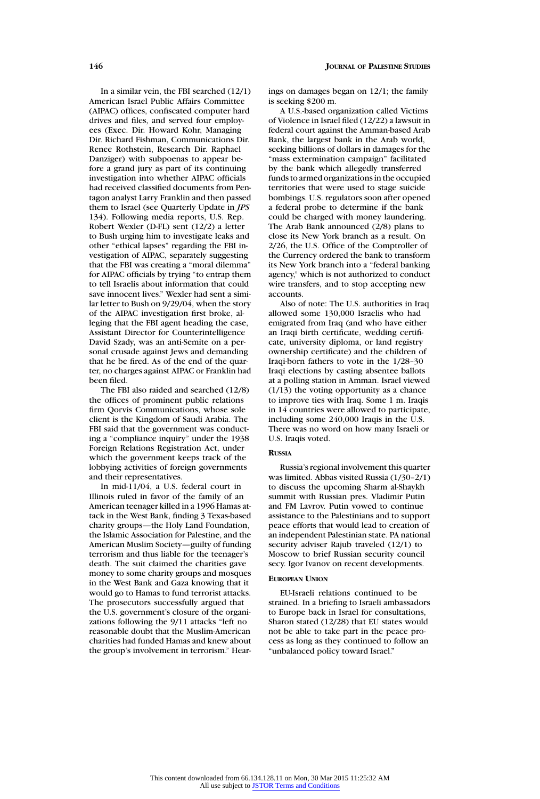In a similar vein, the FBI searched (12/1) American Israel Public Affairs Committee (AIPAC) offices, confiscated computer hard drives and files, and served four employees (Exec. Dir. Howard Kohr, Managing Dir. Richard Fishman, Communications Dir. Renee Rothstein, Research Dir. Raphael Danziger) with subpoenas to appear before a grand jury as part of its continuing investigation into whether AIPAC officials had received classified documents from Pentagon analyst Larry Franklin and then passed them to Israel (see Quarterly Update in *JPS* 134). Following media reports, U.S. Rep. Robert Wexler (D-FL) sent (12/2) a letter to Bush urging him to investigate leaks and other "ethical lapses" regarding the FBI investigation of AIPAC, separately suggesting that the FBI was creating a "moral dilemma" for AIPAC officials by trying "to entrap them to tell Israelis about information that could save innocent lives." Wexler had sent a similar letter to Bush on 9/29/04, when the story of the AIPAC investigation first broke, alleging that the FBI agent heading the case, Assistant Director for Counterintelligence David Szady, was an anti-Semite on a personal crusade against Jews and demanding that he be fired. As of the end of the quarter, no charges against AIPAC or Franklin had been filed.

The FBI also raided and searched (12/8) the offices of prominent public relations firm Qorvis Communications, whose sole client is the Kingdom of Saudi Arabia. The FBI said that the government was conducting a "compliance inquiry" under the 1938 Foreign Relations Registration Act, under which the government keeps track of the lobbying activities of foreign governments and their representatives.

In mid-11/04, a U.S. federal court in Illinois ruled in favor of the family of an American teenager killed in a 1996 Hamas attack in the West Bank, finding 3 Texas-based charity groups—the Holy Land Foundation, the Islamic Association for Palestine, and the American Muslim Society—guilty of funding terrorism and thus liable for the teenager's death. The suit claimed the charities gave money to some charity groups and mosques in the West Bank and Gaza knowing that it would go to Hamas to fund terrorist attacks. The prosecutors successfully argued that the U.S. government's closure of the organizations following the 9/11 attacks "left no reasonable doubt that the Muslim-American charities had funded Hamas and knew about the group's involvement in terrorism." Hearings on damages began on 12/1; the family is seeking \$200 m.

A U.S.-based organization called Victims of Violence in Israel filed (12/22) a lawsuit in federal court against the Amman-based Arab Bank, the largest bank in the Arab world, seeking billions of dollars in damages for the "mass extermination campaign" facilitated by the bank which allegedly transferred funds to armed organizations in the occupied territories that were used to stage suicide bombings. U.S. regulators soon after opened a federal probe to determine if the bank could be charged with money laundering. The Arab Bank announced (2/8) plans to close its New York branch as a result. On 2/26, the U.S. Office of the Comptroller of the Currency ordered the bank to transform its New York branch into a "federal banking agency," which is not authorized to conduct wire transfers, and to stop accepting new accounts.

Also of note: The U.S. authorities in Iraq allowed some 130,000 Israelis who had emigrated from Iraq (and who have either an Iraqi birth certificate, wedding certificate, university diploma, or land registry ownership certificate) and the children of Iraqi-born fathers to vote in the 1/28–30 Iraqi elections by casting absentee ballots at a polling station in Amman. Israel viewed (1/13) the voting opportunity as a chance to improve ties with Iraq. Some 1 m. Iraqis in 14 countries were allowed to participate, including some 240,000 Iraqis in the U.S. There was no word on how many Israeli or U.S. Iraqis voted.

# **RUSSIA**

Russia's regional involvement this quarter was limited. Abbas visited Russia (1/30–2/1) to discuss the upcoming Sharm al-Shaykh summit with Russian pres. Vladimir Putin and FM Lavrov. Putin vowed to continue assistance to the Palestinians and to support peace efforts that would lead to creation of an independent Palestinian state. PA national security adviser Rajub traveled (12/1) to Moscow to brief Russian security council secy. Igor Ivanov on recent developments.

# **EUROPEAN UNION**

EU-Israeli relations continued to be strained. In a briefing to Israeli ambassadors to Europe back in Israel for consultations, Sharon stated (12/28) that EU states would not be able to take part in the peace process as long as they continued to follow an "unbalanced policy toward Israel."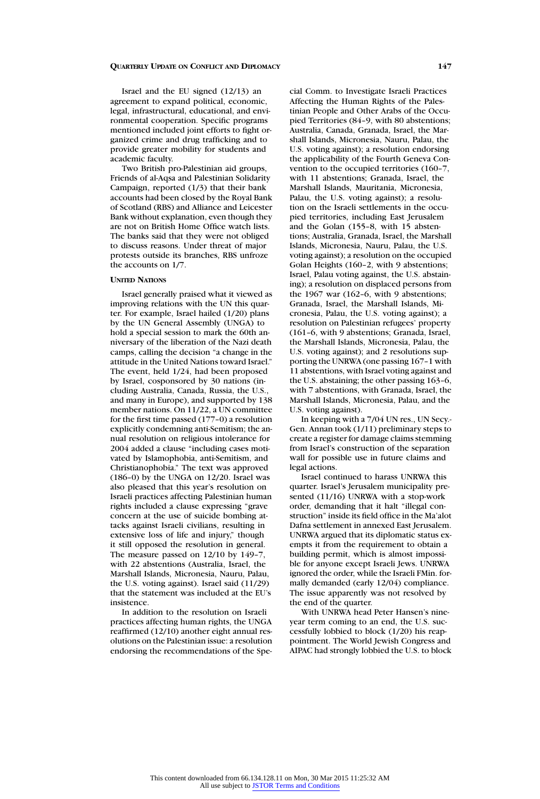Israel and the EU signed (12/13) an agreement to expand political, economic, legal, infrastructural, educational, and environmental cooperation. Specific programs mentioned included joint efforts to fight organized crime and drug trafficking and to provide greater mobility for students and academic faculty.

Two British pro-Palestinian aid groups, Friends of al-Aqsa and Palestinian Solidarity Campaign, reported (1/3) that their bank accounts had been closed by the Royal Bank of Scotland (RBS) and Alliance and Leicester Bank without explanation, even though they are not on British Home Office watch lists. The banks said that they were not obliged to discuss reasons. Under threat of major protests outside its branches, RBS unfroze the accounts on 1/7.

# **UNITED NATIONS**

Israel generally praised what it viewed as improving relations with the UN this quarter. For example, Israel hailed (1/20) plans by the UN General Assembly (UNGA) to hold a special session to mark the 60th anniversary of the liberation of the Nazi death camps, calling the decision "a change in the attitude in the United Nations toward Israel." The event, held 1/24, had been proposed by Israel, cosponsored by 30 nations (including Australia, Canada, Russia, the U.S., and many in Europe), and supported by 138 member nations. On 11/22, a UN committee for the first time passed (177–0) a resolution explicitly condemning anti-Semitism; the annual resolution on religious intolerance for 2004 added a clause "including cases motivated by Islamophobia, anti-Semitism, and Christianophobia." The text was approved (186–0) by the UNGA on 12/20. Israel was also pleased that this year's resolution on Israeli practices affecting Palestinian human rights included a clause expressing "grave concern at the use of suicide bombing attacks against Israeli civilians, resulting in extensive loss of life and injury," though it still opposed the resolution in general. The measure passed on 12/10 by 149–7, with 22 abstentions (Australia, Israel, the Marshall Islands, Micronesia, Nauru, Palau, the U.S. voting against). Israel said (11/29) that the statement was included at the EU's insistence.

In addition to the resolution on Israeli practices affecting human rights, the UNGA reaffirmed (12/10) another eight annual resolutions on the Palestinian issue: a resolution endorsing the recommendations of the Special Comm. to Investigate Israeli Practices Affecting the Human Rights of the Palestinian People and Other Arabs of the Occupied Territories (84–9, with 80 abstentions; Australia, Canada, Granada, Israel, the Marshall Islands, Micronesia, Nauru, Palau, the U.S. voting against); a resolution endorsing the applicability of the Fourth Geneva Convention to the occupied territories (160–7, with 11 abstentions; Granada, Israel, the Marshall Islands, Mauritania, Micronesia, Palau, the U.S. voting against); a resolution on the Israeli settlements in the occupied territories, including East Jerusalem and the Golan (155–8, with 15 abstentions; Australia, Granada, Israel, the Marshall Islands, Micronesia, Nauru, Palau, the U.S. voting against); a resolution on the occupied Golan Heights (160-2, with 9 abstentions; Israel, Palau voting against, the U.S. abstaining); a resolution on displaced persons from the 1967 war (162-6, with 9 abstentions; Granada, Israel, the Marshall Islands, Micronesia, Palau, the U.S. voting against); a resolution on Palestinian refugees' property (161–6, with 9 abstentions; Granada, Israel, the Marshall Islands, Micronesia, Palau, the U.S. voting against); and 2 resolutions supporting the UNRWA (one passing 167–1 with 11 abstentions, with Israel voting against and the U.S. abstaining; the other passing 163–6, with 7 abstentions, with Granada, Israel, the Marshall Islands, Micronesia, Palau, and the U.S. voting against).

In keeping with a 7/04 UN res., UN Secy.- Gen. Annan took (1/11) preliminary steps to create a register for damage claims stemming from Israel's construction of the separation wall for possible use in future claims and legal actions.

Israel continued to harass UNRWA this quarter. Israel's Jerusalem municipality presented (11/16) UNRWA with a stop-work order, demanding that it halt "illegal construction" inside its field office in the Ma'alot Dafna settlement in annexed East Jerusalem. UNRWA argued that its diplomatic status exempts it from the requirement to obtain a building permit, which is almost impossible for anyone except Israeli Jews. UNRWA ignored the order, while the Israeli FMin. formally demanded (early 12/04) compliance. The issue apparently was not resolved by the end of the quarter.

With UNRWA head Peter Hansen's nineyear term coming to an end, the U.S. successfully lobbied to block (1/20) his reappointment. The World Jewish Congress and AIPAC had strongly lobbied the U.S. to block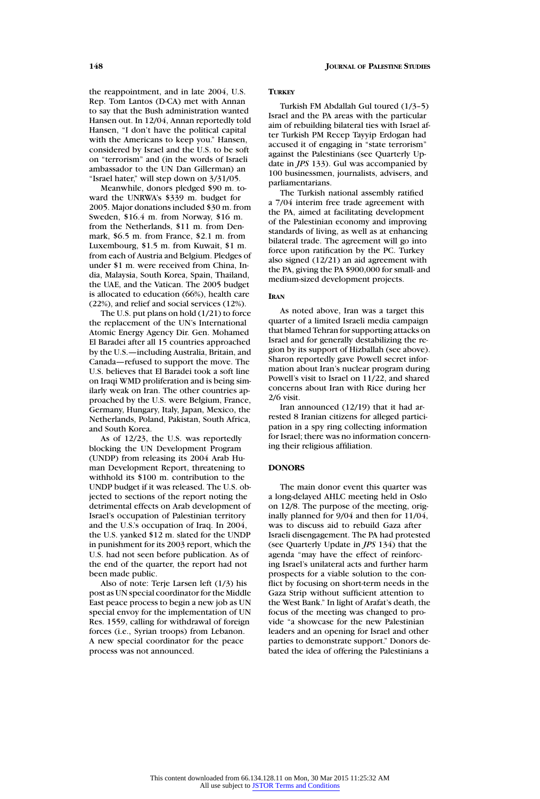the reappointment, and in late 2004, U.S. Rep. Tom Lantos (D-CA) met with Annan to say that the Bush administration wanted Hansen out. In 12/04, Annan reportedly told Hansen, "I don't have the political capital with the Americans to keep you." Hansen, considered by Israel and the U.S. to be soft on "terrorism" and (in the words of Israeli ambassador to the UN Dan Gillerman) an "Israel hater," will step down on 3/31/05.

Meanwhile, donors pledged \$90 m. toward the UNRWA's \$339 m. budget for 2005. Major donations included \$30 m. from Sweden, \$16.4 m. from Norway, \$16 m. from the Netherlands, \$11 m. from Denmark, \$6.5 m. from France, \$2.1 m. from Luxembourg, \$1.5 m. from Kuwait, \$1 m. from each of Austria and Belgium. Pledges of under \$1 m. were received from China, India, Malaysia, South Korea, Spain, Thailand, the UAE, and the Vatican. The 2005 budget is allocated to education (66%), health care (22%), and relief and social services (12%).

The U.S. put plans on hold (1/21) to force the replacement of the UN's International Atomic Energy Agency Dir. Gen. Mohamed El Baradei after all 15 countries approached by the U.S.—including Australia, Britain, and Canada—refused to support the move. The U.S. believes that El Baradei took a soft line on Iraqi WMD proliferation and is being similarly weak on Iran. The other countries approached by the U.S. were Belgium, France, Germany, Hungary, Italy, Japan, Mexico, the Netherlands, Poland, Pakistan, South Africa, and South Korea.

As of 12/23, the U.S. was reportedly blocking the UN Development Program (UNDP) from releasing its 2004 Arab Human Development Report, threatening to withhold its \$100 m. contribution to the UNDP budget if it was released. The U.S. objected to sections of the report noting the detrimental effects on Arab development of Israel's occupation of Palestinian territory and the U.S.'s occupation of Iraq. In 2004, the U.S. yanked \$12 m. slated for the UNDP in punishment for its 2003 report, which the U.S. had not seen before publication. As of the end of the quarter, the report had not been made public.

Also of note: Terje Larsen left (1/3) his post as UN special coordinator for the Middle East peace process to begin a new job as UN special envoy for the implementation of UN Res. 1559, calling for withdrawal of foreign forces (i.e., Syrian troops) from Lebanon. A new special coordinator for the peace process was not announced.

# **TURKEY**

Turkish FM Abdallah Gul toured (1/3–5) Israel and the PA areas with the particular aim of rebuilding bilateral ties with Israel after Turkish PM Recep Tayyip Erdogan had accused it of engaging in "state terrorism" against the Palestinians (see Quarterly Update in *JPS* 133). Gul was accompanied by 100 businessmen, journalists, advisers, and parliamentarians.

The Turkish national assembly ratified 7/04 interim free trade agreement with the PA, aimed at facilitating development of the Palestinian economy and improving standards of living, as well as at enhancing bilateral trade. The agreement will go into force upon ratification by the PC. Turkey also signed (12/21) an aid agreement with the PA, giving the PA \$900,000 for small- and medium-sized development projects.

### **IRAN**

As noted above, Iran was a target this quarter of a limited Israeli media campaign that blamed Tehran for supporting attacks on Israel and for generally destabilizing the region by its support of Hizballah (see above). Sharon reportedly gave Powell secret information about Iran's nuclear program during Powell's visit to Israel on 11/22, and shared concerns about Iran with Rice during her 2/6 visit.

Iran announced (12/19) that it had arrested 8 Iranian citizens for alleged participation in a spy ring collecting information for Israel; there was no information concerning their religious affiliation.

# **DONORS**

The main donor event this quarter was a long-delayed AHLC meeting held in Oslo on 12/8. The purpose of the meeting, originally planned for 9/04 and then for 11/04, was to discuss aid to rebuild Gaza after Israeli disengagement. The PA had protested (see Quarterly Update in *JPS* 134) that the agenda "may have the effect of reinforcing Israel's unilateral acts and further harm prospects for a viable solution to the conflict by focusing on short-term needs in the Gaza Strip without sufficient attention to the West Bank." In light of Arafat's death, the focus of the meeting was changed to provide "a showcase for the new Palestinian leaders and an opening for Israel and other parties to demonstrate support." Donors debated the idea of offering the Palestinians a